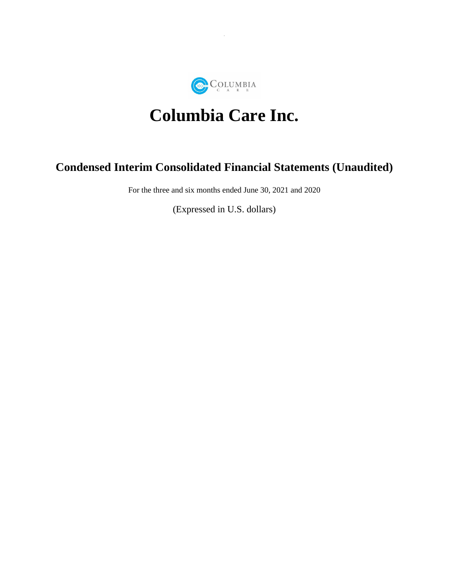

# **Columbia Care Inc.**

# **Condensed Interim Consolidated Financial Statements (Unaudited)**

For the three and six months ended June 30, 2021 and 2020

(Expressed in U.S. dollars)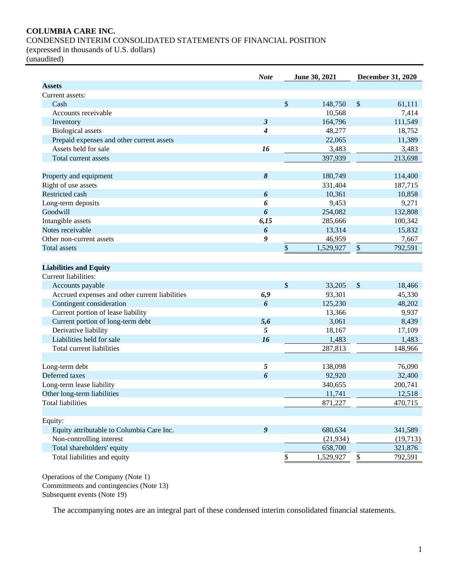# **COLUMBIA CARE INC.**

# CONDENSED INTERIM CONSOLIDATED STATEMENTS OF FINANCIAL POSITION

(expressed in thousands of U.S. dollars)

(unaudited)

|                                                                            | <b>Note</b>          | June 30, 2021     |                       | <b>December 31, 2020</b> |
|----------------------------------------------------------------------------|----------------------|-------------------|-----------------------|--------------------------|
| <b>Assets</b>                                                              |                      |                   |                       |                          |
| Current assets:                                                            |                      |                   |                       |                          |
| Cash                                                                       |                      | \$<br>148,750     | \$                    | 61,111                   |
| Accounts receivable                                                        |                      | 10,568            |                       | 7,414                    |
| Inventory                                                                  | $\boldsymbol{\beta}$ | 164,796           |                       | 111,549                  |
| <b>Biological</b> assets                                                   | 4                    | 48,277            |                       | 18,752                   |
| Prepaid expenses and other current assets                                  |                      | 22,065            |                       | 11,389                   |
| Assets held for sale                                                       | 16                   | 3,483             |                       | 3,483                    |
| Total current assets                                                       |                      | 397,939           |                       | 213,698                  |
| Property and equipment                                                     | 8                    | 180,749           |                       | 114,400                  |
| Right of use assets                                                        |                      | 331,404           |                       | 187,715                  |
| Restricted cash                                                            | 6                    | 10,361            |                       | 10,858                   |
| Long-term deposits                                                         | 6                    | 9,453             |                       | 9,271                    |
| Goodwill                                                                   | 6                    | 254,082           |                       | 132,808                  |
| Intangible assets                                                          | 6,15                 | 285,666           |                       | 100,342                  |
| Notes receivable                                                           | $\boldsymbol{6}$     | 13,314            |                       | 15,832                   |
| Other non-current assets                                                   | 9                    | 46,959            |                       | 7,667                    |
| <b>Total assets</b>                                                        |                      | \$<br>1,529,927   | \$                    | 792,591                  |
| <b>Liabilities and Equity</b><br>Current liabilities:                      |                      |                   |                       |                          |
| Accounts payable                                                           |                      | \$<br>33,205      | \$                    | 18,466                   |
| Accrued expenses and other current liabilities<br>Contingent consideration | 6,9<br>6             | 93,301<br>125,230 |                       | 45,330<br>48,202         |
| Current portion of lease liability                                         |                      | 13,366            |                       | 9,937                    |
| Current portion of long-term debt                                          | 5,6                  | 3,061             |                       | 8,439                    |
| Derivative liability                                                       | 5                    | 18,167            |                       | 17,109                   |
| Liabilities held for sale                                                  | 16                   | 1,483             |                       | 1,483                    |
| Total current liabilities                                                  |                      | 287,813           |                       | 148,966                  |
|                                                                            |                      |                   |                       |                          |
| Long-term debt                                                             | 5                    | 138,098           |                       | 76,090                   |
| Deferred taxes                                                             | 6                    | 92,920            |                       | 32,400                   |
| Long-term lease liability                                                  |                      | 340,655           |                       | 200,741                  |
| Other long-term liabilities                                                |                      | 11,741            |                       | 12,518                   |
| <b>Total liabilities</b>                                                   |                      | 871,227           |                       | 470,715                  |
| Equity:                                                                    |                      |                   |                       |                          |
| Equity attributable to Columbia Care Inc.                                  | $\boldsymbol{g}$     | 680,634           |                       | 341,589                  |
| Non-controlling interest                                                   |                      | (21, 934)         |                       | (19,713)                 |
| Total shareholders' equity                                                 |                      | 658,700           |                       | 321,876                  |
| Total liabilities and equity                                               |                      | \$<br>1,529,927   | $\overline{\partial}$ | 792,591                  |
|                                                                            |                      |                   |                       |                          |

Operations of the Company (Note 1) Commitments and contingencies (Note 13) Subsequent events (Note 19)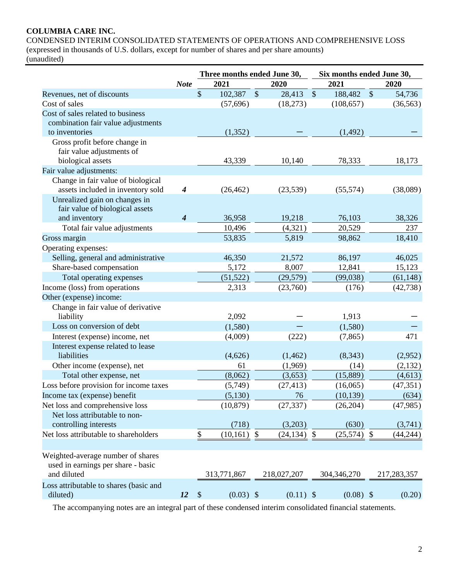# **COLUMBIA CARE INC.**

CONDENSED INTERIM CONSOLIDATED STATEMENTS OF OPERATIONS AND COMPREHENSIVE LOSS (expressed in thousands of U.S. dollars, except for number of shares and per share amounts) (unaudited)

|                                                    |                  |                           | Three months ended June 30, |         |                |         | Six months ended June 30, |                           |             |  |  |
|----------------------------------------------------|------------------|---------------------------|-----------------------------|---------|----------------|---------|---------------------------|---------------------------|-------------|--|--|
|                                                    | <b>Note</b>      |                           | 2021                        |         | 2020           |         | 2021                      |                           | 2020        |  |  |
| Revenues, net of discounts                         |                  | \$                        | 102,387                     | $\sqrt$ | 28,413         | $\sqrt$ | 188,482                   | $\boldsymbol{\mathsf{S}}$ | 54,736      |  |  |
| Cost of sales                                      |                  |                           | (57,696)                    |         | (18,273)       |         | (108, 657)                |                           | (36, 563)   |  |  |
| Cost of sales related to business                  |                  |                           |                             |         |                |         |                           |                           |             |  |  |
| combination fair value adjustments                 |                  |                           |                             |         |                |         |                           |                           |             |  |  |
| to inventories                                     |                  |                           | (1, 352)                    |         |                |         | (1, 492)                  |                           |             |  |  |
| Gross profit before change in                      |                  |                           |                             |         |                |         |                           |                           |             |  |  |
| fair value adjustments of                          |                  |                           |                             |         |                |         |                           |                           |             |  |  |
| biological assets                                  |                  |                           | 43,339                      |         | 10,140         |         | 78,333                    |                           | 18,173      |  |  |
| Fair value adjustments:                            |                  |                           |                             |         |                |         |                           |                           |             |  |  |
| Change in fair value of biological                 |                  |                           |                             |         |                |         |                           |                           |             |  |  |
| assets included in inventory sold                  | $\boldsymbol{4}$ |                           | (26, 462)                   |         | (23,539)       |         | (55,574)                  |                           | (38,089)    |  |  |
| Unrealized gain on changes in                      |                  |                           |                             |         |                |         |                           |                           |             |  |  |
| fair value of biological assets                    |                  |                           |                             |         |                |         |                           |                           |             |  |  |
| and inventory                                      | 4                |                           | 36,958                      |         | 19,218         |         | 76,103                    |                           | 38,326      |  |  |
| Total fair value adjustments                       |                  |                           | 10,496                      |         | (4,321)        |         | 20,529                    |                           | 237         |  |  |
| Gross margin                                       |                  |                           | 53,835                      |         | 5,819          |         | 98,862                    |                           | 18,410      |  |  |
| Operating expenses:                                |                  |                           |                             |         |                |         |                           |                           |             |  |  |
| Selling, general and administrative                |                  |                           | 46,350                      |         | 21,572         |         | 86,197                    |                           | 46,025      |  |  |
| Share-based compensation                           |                  |                           | 5,172                       |         | 8,007          |         | 12,841                    |                           | 15,123      |  |  |
| Total operating expenses                           |                  |                           | (51, 522)                   |         | (29, 579)      |         | (99,038)                  |                           | (61, 148)   |  |  |
| Income (loss) from operations                      |                  |                           | 2,313                       |         | (23,760)       |         | (176)                     |                           | (42, 738)   |  |  |
| Other (expense) income:                            |                  |                           |                             |         |                |         |                           |                           |             |  |  |
| Change in fair value of derivative                 |                  |                           |                             |         |                |         |                           |                           |             |  |  |
| liability                                          |                  |                           | 2,092                       |         |                |         | 1,913                     |                           |             |  |  |
| Loss on conversion of debt                         |                  |                           | (1,580)                     |         |                |         | (1,580)                   |                           |             |  |  |
| Interest (expense) income, net                     |                  |                           | (4,009)                     |         | (222)          |         | (7, 865)                  |                           | 471         |  |  |
| Interest expense related to lease                  |                  |                           |                             |         |                |         |                           |                           |             |  |  |
| liabilities                                        |                  |                           | (4,626)                     |         | (1,462)        |         | (8,343)                   |                           | (2,952)     |  |  |
| Other income (expense), net                        |                  |                           | 61                          |         | (1,969)        |         | (14)                      |                           | (2,132)     |  |  |
| Total other expense, net                           |                  |                           | (8,062)                     |         | (3,653)        |         | (15,889)                  |                           | (4,613)     |  |  |
| Loss before provision for income taxes             |                  |                           | (5,749)                     |         | (27, 413)      |         | (16,065)                  |                           | (47, 351)   |  |  |
| Income tax (expense) benefit                       |                  |                           | (5,130)                     |         | 76             |         | (10, 139)                 |                           | (634)       |  |  |
| Net loss and comprehensive loss                    |                  |                           | (10, 879)                   |         | (27, 337)      |         | (26, 204)                 |                           | (47,985)    |  |  |
| Net loss attributable to non-                      |                  |                           |                             |         |                |         |                           |                           |             |  |  |
| controlling interests                              |                  |                           | (718)                       |         | (3,203)        |         | (630)                     |                           | (3,741)     |  |  |
| Net loss attributable to shareholders              |                  | \$                        | $(10,161)$ \$               |         | $(24, 134)$ \$ |         | $(25,574)$ \$             |                           | (44, 244)   |  |  |
|                                                    |                  |                           |                             |         |                |         |                           |                           |             |  |  |
| Weighted-average number of shares                  |                  |                           |                             |         |                |         |                           |                           |             |  |  |
| used in earnings per share - basic<br>and diluted  |                  |                           | 313,771,867                 |         | 218,027,207    |         | 304,346,270               |                           | 217,283,357 |  |  |
|                                                    |                  |                           |                             |         |                |         |                           |                           |             |  |  |
| Loss attributable to shares (basic and<br>diluted) |                  | $\boldsymbol{\mathsf{S}}$ | $(0.03)$ \$                 |         |                |         |                           |                           | (0.20)      |  |  |
|                                                    | <i>12</i>        |                           |                             |         | $(0.11)$ \$    |         | $(0.08)$ \$               |                           |             |  |  |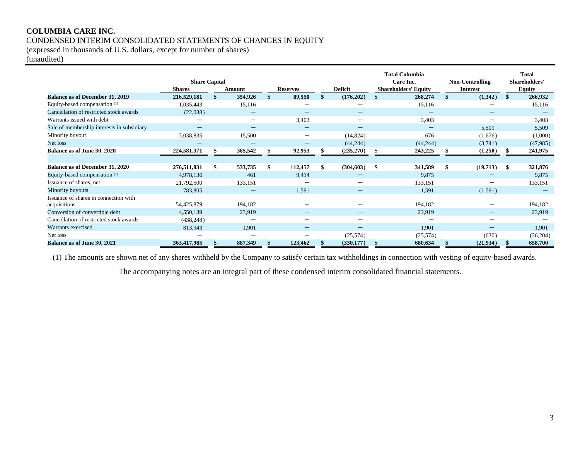# **COLUMBIA CARE INC.** CONDENSED INTERIM CONSOLIDATED STATEMENTS OF CHANGES IN EQUITY

(expressed in thousands of U.S. dollars, except for number of shares)

(unaudited)

|                                            | <b>Share Capital</b> |               |                                |                          |     |                          |     | <b>Total Columbia</b><br>Care Inc. |                 | <b>Non-Controlling</b> |               | <b>Total</b><br>Shareholders' |
|--------------------------------------------|----------------------|---------------|--------------------------------|--------------------------|-----|--------------------------|-----|------------------------------------|-----------------|------------------------|---------------|-------------------------------|
|                                            | <b>Shares</b>        | Amount        |                                | <b>Reserves</b>          |     | <b>Deficit</b>           |     | <b>Shareholders' Equity</b>        | <b>Interest</b> |                        | <b>Equity</b> |                               |
| <b>Balance as of December 31, 2019</b>     | 216,529,181          | \$<br>354,926 | \$                             | 89,550                   | \$. | (176,202)                |     | 268,274                            | \$              | (1,342)                | <sup>\$</sup> | 266,932                       |
| Equity-based compensation (1)              | 1,035,443            | 15,116        |                                |                          |     |                          |     | 15,116                             |                 |                        |               | 15,116                        |
| Cancellation of restricted stock awards    | (22,088)             |               |                                | -                        |     |                          |     |                                    |                 |                        |               |                               |
| Warrants issued with debt                  |                      |               |                                | 3,403                    |     | $\overline{\phantom{0}}$ |     | 3,403                              |                 |                        |               | 3,403                         |
| Sale of membership interests in subsidiary |                      |               |                                | -                        |     |                          |     |                                    |                 | 5,509                  |               | 5,509                         |
| Minority buyout                            | 7,038,835            | 15,500        |                                |                          |     | (14, 824)                |     | 676                                |                 | (1,676)                | (1,000)       |                               |
| Net loss                                   |                      |               | $\qquad \qquad \longleftarrow$ |                          |     | (44, 244)                |     | (44, 244)                          |                 | (3,741)                |               | (47,985)                      |
| Balance as of June 30, 2020                | 224,581,371          | 385,542       |                                | 92,953                   |     | (235,270)                |     | 243,225                            |                 | (1,250)                |               | 241,975                       |
|                                            |                      |               |                                |                          |     |                          |     |                                    |                 |                        |               |                               |
| <b>Balance as of December 31, 2020</b>     | 276,511,831          | 533,735       | \$                             | 112,457                  |     | (304, 603)               | -\$ | 341,589                            | \$              | (19,713)               | -S            | 321,876                       |
| Equity-based compensation <sup>(1)</sup>   | 4,978,136            | 461           |                                | 9,414                    |     |                          |     | 9.875                              |                 |                        |               | 9,875                         |
| Issuance of shares, net                    | 21,792,500           | 133,151       |                                |                          |     |                          |     | 133,151                            |                 |                        |               | 133,151                       |
| Minority buyouts                           | 783,805              |               |                                | 1,591                    |     |                          |     | 1,591                              |                 | (1,591)                |               |                               |
| Issuance of shares in connection with      |                      |               |                                |                          |     |                          |     |                                    |                 |                        |               |                               |
| acquisitions                               | 54,425,879           | 194,182       |                                |                          |     |                          |     | 194.182                            |                 |                        |               | 194,182                       |
| Conversion of convertible debt             | 4,550,139            | 23,919        |                                | -                        |     |                          |     | 23,919                             |                 |                        |               | 23,919                        |
| Cancellation of restricted stock awards    | (438, 248)           |               |                                |                          |     | $\overline{\phantom{0}}$ |     |                                    |                 |                        |               |                               |
| Warrants exercised                         | 813,943              | 1,901         |                                | $\overline{\phantom{m}}$ |     | $\overline{\phantom{0}}$ |     | 1.901                              |                 |                        |               | 1,901                         |
| Net loss                                   |                      | -             |                                |                          |     | (25,574)                 |     | (25, 574)                          |                 | (630)                  |               | (26, 204)                     |
| Balance as of June 30, 2021                | 363,417,985          | 887,349       |                                | 123,462                  |     | (330, 177)               |     | 680,634                            |                 | (21,934)               |               | 658,700                       |

(1) The amounts are shown net of any shares withheld by the Company to satisfy certain tax withholdings in connection with vesting of equity-based awards.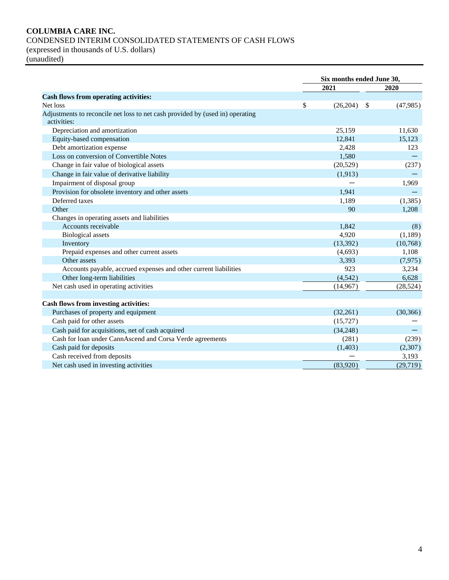# **COLUMBIA CARE INC.** CONDENSED INTERIM CONSOLIDATED STATEMENTS OF CASH FLOWS (expressed in thousands of U.S. dollars)

(unaudited)

|                                                                               | Six months ended June 30, |                 |  |  |  |
|-------------------------------------------------------------------------------|---------------------------|-----------------|--|--|--|
|                                                                               | 2021                      | 2020            |  |  |  |
| <b>Cash flows from operating activities:</b>                                  |                           |                 |  |  |  |
| \$<br>Net loss                                                                | (26,204)                  | -\$<br>(47,985) |  |  |  |
| Adjustments to reconcile net loss to net cash provided by (used in) operating |                           |                 |  |  |  |
| activities:                                                                   |                           |                 |  |  |  |
| Depreciation and amortization                                                 | 25,159                    | 11,630          |  |  |  |
| Equity-based compensation                                                     | 12,841                    | 15,123          |  |  |  |
| Debt amortization expense                                                     | 2,428                     | 123             |  |  |  |
| Loss on conversion of Convertible Notes                                       | 1,580                     |                 |  |  |  |
| Change in fair value of biological assets                                     | (20, 529)                 | (237)           |  |  |  |
| Change in fair value of derivative liability                                  | (1, 913)                  |                 |  |  |  |
| Impairment of disposal group                                                  |                           | 1,969           |  |  |  |
| Provision for obsolete inventory and other assets                             | 1.941                     |                 |  |  |  |
| Deferred taxes                                                                | 1,189                     | (1, 385)        |  |  |  |
| Other                                                                         | 90                        | 1,208           |  |  |  |
| Changes in operating assets and liabilities                                   |                           |                 |  |  |  |
| Accounts receivable                                                           | 1,842                     | (8)             |  |  |  |
| <b>Biological</b> assets                                                      | 4,920                     | (1,189)         |  |  |  |
| Inventory                                                                     | (13, 392)                 | (10,768)        |  |  |  |
| Prepaid expenses and other current assets                                     | (4,693)                   | 1,108           |  |  |  |
| Other assets                                                                  | 3,393                     | (7, 975)        |  |  |  |
| Accounts payable, accrued expenses and other current liabilities              | 923                       | 3,234           |  |  |  |
| Other long-term liabilities                                                   | (4,542)                   | 6,628           |  |  |  |
| Net cash used in operating activities                                         | (14, 967)                 | (28, 524)       |  |  |  |
|                                                                               |                           |                 |  |  |  |
| Cash flows from investing activities:                                         |                           |                 |  |  |  |
| Purchases of property and equipment                                           | (32,261)                  | (30, 366)       |  |  |  |
| Cash paid for other assets                                                    | (15, 727)                 |                 |  |  |  |
| Cash paid for acquisitions, net of cash acquired                              | (34,248)                  |                 |  |  |  |
| Cash for loan under CannAscend and Corsa Verde agreements                     | (281)                     | (239)           |  |  |  |
| Cash paid for deposits                                                        | (1,403)                   | (2,307)         |  |  |  |
| Cash received from deposits                                                   |                           | 3,193           |  |  |  |
| Net cash used in investing activities                                         | (83,920)                  | (29,719)        |  |  |  |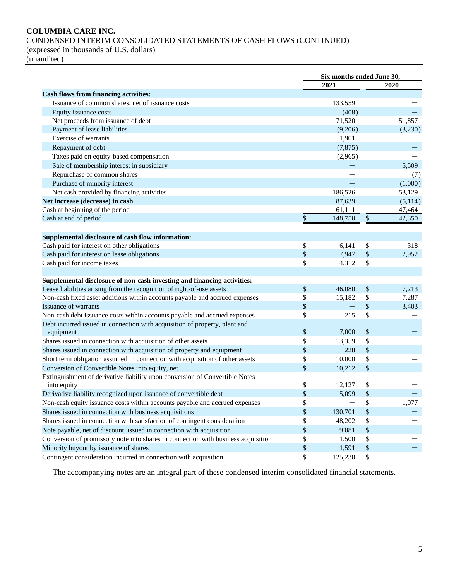# **COLUMBIA CARE INC.**

CONDENSED INTERIM CONSOLIDATED STATEMENTS OF CASH FLOWS (CONTINUED)

(expressed in thousands of U.S. dollars)

(unaudited)

|                                                                                   | Six months ended June 30, |          |    |         |
|-----------------------------------------------------------------------------------|---------------------------|----------|----|---------|
|                                                                                   |                           | 2021     |    | 2020    |
| <b>Cash flows from financing activities:</b>                                      |                           |          |    |         |
| Issuance of common shares, net of issuance costs                                  |                           | 133,559  |    |         |
| Equity issuance costs                                                             |                           | (408)    |    |         |
| Net proceeds from issuance of debt                                                |                           | 71,520   |    | 51,857  |
| Payment of lease liabilities                                                      |                           | (9,206)  |    | (3,230) |
| Exercise of warrants                                                              |                           | 1,901    |    |         |
| Repayment of debt                                                                 |                           | (7, 875) |    |         |
| Taxes paid on equity-based compensation                                           |                           | (2,965)  |    |         |
| Sale of membership interest in subsidiary                                         |                           |          |    | 5,509   |
| Repurchase of common shares                                                       |                           |          |    | (7)     |
| Purchase of minority interest                                                     |                           |          |    | (1,000) |
| Net cash provided by financing activities                                         |                           | 186,526  |    | 53,129  |
| Net increase (decrease) in cash                                                   |                           | 87,639   |    | (5,114) |
| Cash at beginning of the period                                                   |                           | 61,111   |    | 47,464  |
| Cash at end of period                                                             | \$                        | 148,750  | \$ | 42,350  |
|                                                                                   |                           |          |    |         |
| Supplemental disclosure of cash flow information:                                 |                           |          |    |         |
| Cash paid for interest on other obligations                                       | $\$$                      | 6,141    | \$ | 318     |
| Cash paid for interest on lease obligations                                       | \$                        | 7,947    | \$ | 2,952   |
| Cash paid for income taxes                                                        | \$                        | 4,312    | \$ |         |
|                                                                                   |                           |          |    |         |
| Supplemental disclosure of non-cash investing and financing activities:           |                           |          |    |         |
| Lease liabilities arising from the recognition of right-of-use assets             | \$                        | 46,080   | \$ | 7,213   |
| Non-cash fixed asset additions within accounts payable and accrued expenses       | \$                        | 15,182   | \$ | 7,287   |
| <b>Issuance of warrants</b>                                                       | $\$\,$                    |          | \$ | 3,403   |
| Non-cash debt issuance costs within accounts payable and accrued expenses         | \$                        | 215      | \$ |         |
| Debt incurred issued in connection with acquisition of property, plant and        |                           |          |    |         |
| equipment                                                                         | \$                        | 7,000    | \$ |         |
| Shares issued in connection with acquisition of other assets                      | \$                        | 13,359   | \$ |         |
| Shares issued in connection with acquisition of property and equipment            | \$                        | 228      | \$ |         |
| Short term obligation assumed in connection with acquisition of other assets      | \$                        | 10,000   | \$ |         |
| Conversion of Convertible Notes into equity, net                                  | \$                        | 10,212   | \$ |         |
| Extinguishment of derivative liability upon conversion of Convertible Notes       |                           |          |    |         |
| into equity                                                                       | \$                        | 12,127   | \$ |         |
| Derivative liability recognized upon issuance of convertible debt                 | \$                        | 15,099   | \$ |         |
| Non-cash equity issuance costs within accounts payable and accrued expenses       | \$                        |          | \$ | 1,077   |
| Shares issued in connection with business acquisitions                            | \$                        | 130,701  | \$ |         |
| Shares issued in connection with satisfaction of contingent consideration         | \$                        | 48,202   | \$ |         |
| Note payable, net of discount, issued in connection with acquisition              | \$                        | 9,081    | \$ |         |
| Conversion of promissory note into shares in connection with business acquisition | \$                        | 1,500    | \$ |         |
| Minority buyout by issuance of shares                                             | $\,$                      | 1,591    | \$ |         |
| Contingent consideration incurred in connection with acquisition                  | \$                        | 125,230  | \$ |         |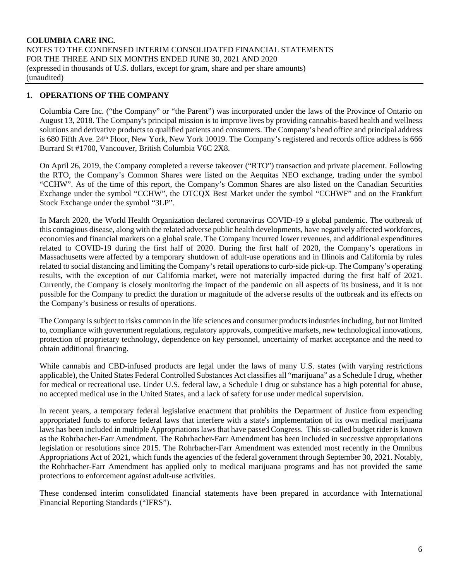# **1. OPERATIONS OF THE COMPANY**

Columbia Care Inc. ("the Company" or "the Parent") was incorporated under the laws of the Province of Ontario on August 13, 2018. The Company's principal mission is to improve lives by providing cannabis-based health and wellness solutions and derivative products to qualified patients and consumers. The Company's head office and principal address is 680 Fifth Ave. 24<sup>th</sup> Floor, New York, New York 10019. The Company's registered and records office address is 666 Burrard St #1700, Vancouver, British Columbia V6C 2X8.

On April 26, 2019, the Company completed a reverse takeover ("RTO") transaction and private placement. Following the RTO, the Company's Common Shares were listed on the Aequitas NEO exchange, trading under the symbol "CCHW". As of the time of this report, the Company's Common Shares are also listed on the Canadian Securities Exchange under the symbol "CCHW", the OTCQX Best Market under the symbol "CCHWF" and on the Frankfurt Stock Exchange under the symbol "3LP".

In March 2020, the World Health Organization declared coronavirus COVID-19 a global pandemic. The outbreak of this contagious disease, along with the related adverse public health developments, have negatively affected workforces, economies and financial markets on a global scale. The Company incurred lower revenues, and additional expenditures related to COVID-19 during the first half of 2020. During the first half of 2020, the Company's operations in Massachusetts were affected by a temporary shutdown of adult-use operations and in Illinois and California by rules related to social distancing and limiting the Company's retail operations to curb-side pick-up. The Company's operating results, with the exception of our California market, were not materially impacted during the first half of 2021. Currently, the Company is closely monitoring the impact of the pandemic on all aspects of its business, and it is not possible for the Company to predict the duration or magnitude of the adverse results of the outbreak and its effects on the Company's business or results of operations.

The Company is subject to risks common in the life sciences and consumer products industries including, but not limited to, compliance with government regulations, regulatory approvals, competitive markets, new technological innovations, protection of proprietary technology, dependence on key personnel, uncertainty of market acceptance and the need to obtain additional financing.

While cannabis and CBD-infused products are legal under the laws of many U.S. states (with varying restrictions applicable), the United States Federal Controlled Substances Act classifies all "marijuana" as a Schedule I drug, whether for medical or recreational use. Under U.S. federal law, a Schedule I drug or substance has a high potential for abuse, no accepted medical use in the United States, and a lack of safety for use under medical supervision.

In recent years, a temporary federal legislative enactment that prohibits the Department of Justice from expending appropriated funds to enforce federal laws that interfere with a state's implementation of its own medical marijuana laws has been included in multiple Appropriations laws that have passed Congress. This so-called budget rider is known as the Rohrbacher-Farr Amendment. The Rohrbacher-Farr Amendment has been included in successive appropriations legislation or resolutions since 2015. The Rohrbacher-Farr Amendment was extended most recently in the Omnibus Appropriations Act of 2021, which funds the agencies of the federal government through September 30, 2021. Notably, the Rohrbacher-Farr Amendment has applied only to medical marijuana programs and has not provided the same protections to enforcement against adult-use activities.

These condensed interim consolidated financial statements have been prepared in accordance with International Financial Reporting Standards ("IFRS").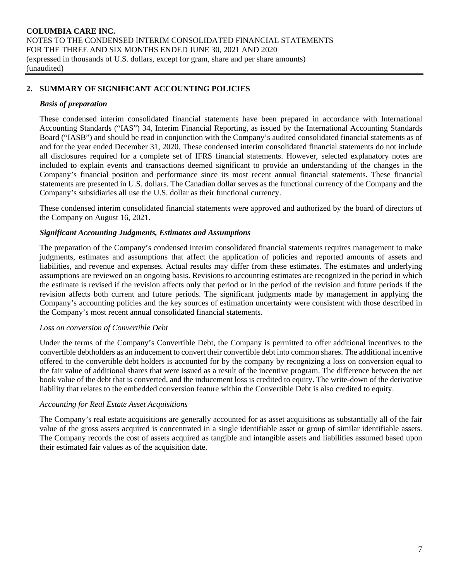# **2. SUMMARY OF SIGNIFICANT ACCOUNTING POLICIES**

#### *Basis of preparation*

These condensed interim consolidated financial statements have been prepared in accordance with International Accounting Standards ("IAS") 34, Interim Financial Reporting, as issued by the International Accounting Standards Board ("IASB") and should be read in conjunction with the Company's audited consolidated financial statements as of and for the year ended December 31, 2020. These condensed interim consolidated financial statements do not include all disclosures required for a complete set of IFRS financial statements. However, selected explanatory notes are included to explain events and transactions deemed significant to provide an understanding of the changes in the Company's financial position and performance since its most recent annual financial statements. These financial statements are presented in U.S. dollars. The Canadian dollar serves as the functional currency of the Company and the Company's subsidiaries all use the U.S. dollar as their functional currency.

These condensed interim consolidated financial statements were approved and authorized by the board of directors of the Company on August 16, 2021.

#### *Significant Accounting Judgments, Estimates and Assumptions*

The preparation of the Company's condensed interim consolidated financial statements requires management to make judgments, estimates and assumptions that affect the application of policies and reported amounts of assets and liabilities, and revenue and expenses. Actual results may differ from these estimates. The estimates and underlying assumptions are reviewed on an ongoing basis. Revisions to accounting estimates are recognized in the period in which the estimate is revised if the revision affects only that period or in the period of the revision and future periods if the revision affects both current and future periods. The significant judgments made by management in applying the Company's accounting policies and the key sources of estimation uncertainty were consistent with those described in the Company's most recent annual consolidated financial statements.

#### *Loss on conversion of Convertible Debt*

Under the terms of the Company's Convertible Debt, the Company is permitted to offer additional incentives to the convertible debtholders as an inducement to convert their convertible debt into common shares. The additional incentive offered to the convertible debt holders is accounted for by the company by recognizing a loss on conversion equal to the fair value of additional shares that were issued as a result of the incentive program. The difference between the net book value of the debt that is converted, and the inducement loss is credited to equity. The write-down of the derivative liability that relates to the embedded conversion feature within the Convertible Debt is also credited to equity.

#### *Accounting for Real Estate Asset Acquisitions*

The Company's real estate acquisitions are generally accounted for as asset acquisitions as substantially all of the fair value of the gross assets acquired is concentrated in a single identifiable asset or group of similar identifiable assets. The Company records the cost of assets acquired as tangible and intangible assets and liabilities assumed based upon their estimated fair values as of the acquisition date.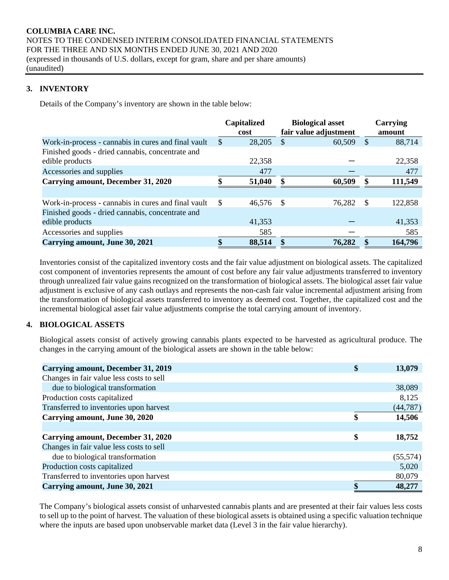# **3. INVENTORY**

Details of the Company's inventory are shown in the table below:

|                                                     |               | <b>Capitalized</b><br>cost |     | <b>Biological asset</b><br>fair value adjustment |               | Carrying<br>amount |
|-----------------------------------------------------|---------------|----------------------------|-----|--------------------------------------------------|---------------|--------------------|
| Work-in-process - cannabis in cures and final vault | <sup>\$</sup> | 28,205                     | \$. | 60,509                                           | <sup>\$</sup> | 88,714             |
| Finished goods - dried cannabis, concentrate and    |               |                            |     |                                                  |               |                    |
| edible products                                     |               | 22,358                     |     |                                                  |               | 22,358             |
| Accessories and supplies                            |               | 477                        |     |                                                  |               | 477                |
| Carrying amount, December 31, 2020                  |               | 51,040                     |     | 60,509                                           | \$            | 111,549            |
|                                                     |               |                            |     |                                                  |               |                    |
| Work-in-process - cannabis in cures and final vault | $\mathbb{S}$  | 46,576 \$                  |     | 76,282                                           | -S            | 122,858            |
| Finished goods - dried cannabis, concentrate and    |               |                            |     |                                                  |               |                    |
| edible products                                     |               | 41,353                     |     |                                                  |               | 41,353             |
| Accessories and supplies                            |               | 585                        |     |                                                  |               | 585                |
| Carrying amount, June 30, 2021                      |               | 88,514                     |     | 76,282                                           |               | 164,796            |

Inventories consist of the capitalized inventory costs and the fair value adjustment on biological assets. The capitalized cost component of inventories represents the amount of cost before any fair value adjustments transferred to inventory through unrealized fair value gains recognized on the transformation of biological assets. The biological asset fair value adjustment is exclusive of any cash outlays and represents the non-cash fair value incremental adjustment arising from the transformation of biological assets transferred to inventory as deemed cost. Together, the capitalized cost and the incremental biological asset fair value adjustments comprise the total carrying amount of inventory.

# **4. BIOLOGICAL ASSETS**

Biological assets consist of actively growing cannabis plants expected to be harvested as agricultural produce. The changes in the carrying amount of the biological assets are shown in the table below:

| Carrying amount, December 31, 2019       | \$<br>13,079 |
|------------------------------------------|--------------|
| Changes in fair value less costs to sell |              |
| due to biological transformation         | 38,089       |
| Production costs capitalized             | 8,125        |
| Transferred to inventories upon harvest  | (44, 787)    |
| Carrying amount, June 30, 2020           | \$<br>14,506 |
|                                          |              |
| Carrying amount, December 31, 2020       | \$<br>18,752 |
| Changes in fair value less costs to sell |              |
| due to biological transformation         | (55,574)     |
| Production costs capitalized             | 5,020        |
| Transferred to inventories upon harvest  | 80,079       |
| Carrying amount, June 30, 2021           | 48,277       |

The Company's biological assets consist of unharvested cannabis plants and are presented at their fair values less costs to sell up to the point of harvest. The valuation of these biological assets is obtained using a specific valuation technique where the inputs are based upon unobservable market data (Level 3 in the fair value hierarchy).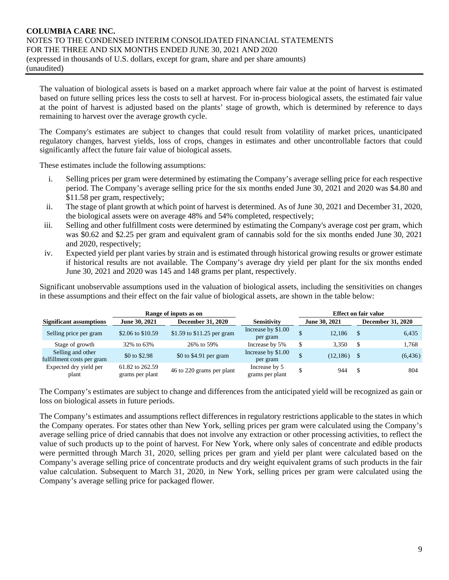The valuation of biological assets is based on a market approach where fair value at the point of harvest is estimated based on future selling prices less the costs to sell at harvest. For in-process biological assets, the estimated fair value at the point of harvest is adjusted based on the plants' stage of growth, which is determined by reference to days remaining to harvest over the average growth cycle.

The Company's estimates are subject to changes that could result from volatility of market prices, unanticipated regulatory changes, harvest yields, loss of crops, changes in estimates and other uncontrollable factors that could significantly affect the future fair value of biological assets.

These estimates include the following assumptions:

- i. Selling prices per gram were determined by estimating the Company's average selling price for each respective period. The Company's average selling price for the six months ended June 30, 2021 and 2020 was \$4.80 and \$11.58 per gram, respectively;
- ii. The stage of plant growth at which point of harvest is determined. As of June 30, 2021 and December 31, 2020, the biological assets were on average 48% and 54% completed, respectively;
- iii. Selling and other fulfillment costs were determined by estimating the Company's average cost per gram, which was \$0.62 and \$2.25 per gram and equivalent gram of cannabis sold for the six months ended June 30, 2021 and 2020, respectively;
- iv. Expected yield per plant varies by strain and is estimated through historical growing results or grower estimate if historical results are not available. The Company's average dry yield per plant for the six months ended June 30, 2021 and 2020 was 145 and 148 grams per plant, respectively.

Significant unobservable assumptions used in the valuation of biological assets, including the sensitivities on changes in these assumptions and their effect on the fair value of biological assets, are shown in the table below:

|                                                 | Range of inputs as on              |                            | <b>Effect on fair value</b>      |  |               |          |                          |  |  |
|-------------------------------------------------|------------------------------------|----------------------------|----------------------------------|--|---------------|----------|--------------------------|--|--|
| <b>Significant assumptions</b>                  | June 30, 2021                      | <b>December 31, 2020</b>   | <b>Sensitivity</b>               |  | June 30, 2021 |          | <b>December 31, 2020</b> |  |  |
| Selling price per gram                          | \$2.06 to \$10.59                  | \$1.59 to \$11.25 per gram | Increase by \$1.00<br>per gram   |  | 12.186        | <b>S</b> | 6,435                    |  |  |
| Stage of growth                                 | 32% to 63%                         | 26% to 59%                 | Increase by 5%                   |  | 3.350         | \$.      | 1,768                    |  |  |
| Selling and other<br>fulfillment costs per gram | \$0 to \$2.98                      | \$0 to \$4.91 per gram     | Increase by \$1.00<br>per gram   |  | (12, 186)     |          | (6, 436)                 |  |  |
| Expected dry yield per<br>plant                 | 61.82 to 262.59<br>grams per plant | 46 to 220 grams per plant  | Increase by 5<br>grams per plant |  | 944           | S        | 804                      |  |  |

The Company's estimates are subject to change and differences from the anticipated yield will be recognized as gain or loss on biological assets in future periods.

The Company's estimates and assumptions reflect differences in regulatory restrictions applicable to the states in which the Company operates. For states other than New York, selling prices per gram were calculated using the Company's average selling price of dried cannabis that does not involve any extraction or other processing activities, to reflect the value of such products up to the point of harvest. For New York, where only sales of concentrate and edible products were permitted through March 31, 2020, selling prices per gram and yield per plant were calculated based on the Company's average selling price of concentrate products and dry weight equivalent grams of such products in the fair value calculation. Subsequent to March 31, 2020, in New York, selling prices per gram were calculated using the Company's average selling price for packaged flower.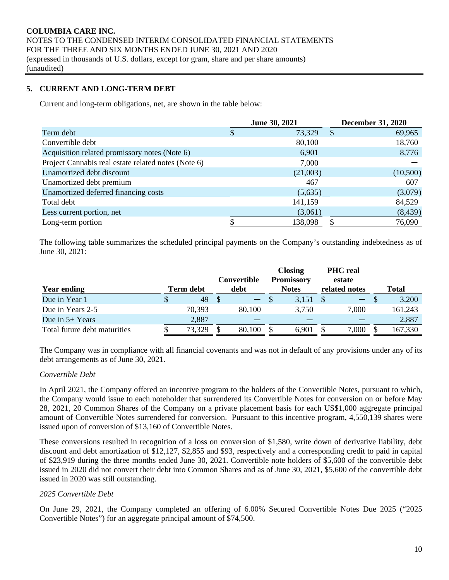# **5. CURRENT AND LONG-TERM DEBT**

Current and long-term obligations, net, are shown in the table below:

|                                                     | <b>June 30, 2021</b> |              | <b>December 31, 2020</b> |
|-----------------------------------------------------|----------------------|--------------|--------------------------|
| Term debt                                           | \$<br>73,329         | <sup>S</sup> | 69,965                   |
| Convertible debt                                    | 80,100               |              | 18,760                   |
| Acquisition related promissory notes (Note 6)       | 6,901                |              | 8,776                    |
| Project Cannabis real estate related notes (Note 6) | 7,000                |              |                          |
| Unamortized debt discount                           | (21,003)             |              | (10,500)                 |
| Unamortized debt premium                            | 467                  |              | 607                      |
| Unamortized deferred financing costs                | (5,635)              |              | (3,079)                  |
| Total debt                                          | 141,159              |              | 84,529                   |
| Less current portion, net                           | (3,061)              |              | (8, 439)                 |
| Long-term portion                                   | 138,098              |              | 76,090                   |

The following table summarizes the scheduled principal payments on the Company's outstanding indebtedness as of June 30, 2021:

|                              |   |                  |                                  | <b>Closing</b> |       |               | <b>PHC</b> real |         |
|------------------------------|---|------------------|----------------------------------|----------------|-------|---------------|-----------------|---------|
|                              |   |                  | <b>Promissory</b><br>Convertible |                |       | estate        |                 |         |
| <b>Year ending</b>           |   | <b>Term debt</b> | debt                             | <b>Notes</b>   |       | related notes |                 | Total   |
| Due in Year 1                | S | 49               | $\overline{\phantom{0}}$         |                | 3,151 |               | $-$ \$          | 3,200   |
| Due in Years 2-5             |   | 70,393           | 80,100                           |                | 3,750 |               | 7,000           | 161,243 |
| Due in $5+$ Years            |   | 2,887            |                                  |                |       |               |                 | 2,887   |
| Total future debt maturities |   | 73,329           | 80,100                           |                | 6,901 |               | 000,            | 167,330 |

The Company was in compliance with all financial covenants and was not in default of any provisions under any of its debt arrangements as of June 30, 2021.

#### *Convertible Debt*

In April 2021, the Company offered an incentive program to the holders of the Convertible Notes, pursuant to which, the Company would issue to each noteholder that surrendered its Convertible Notes for conversion on or before May 28, 2021, 20 Common Shares of the Company on a private placement basis for each US\$1,000 aggregate principal amount of Convertible Notes surrendered for conversion. Pursuant to this incentive program, 4,550,139 shares were issued upon of conversion of \$13,160 of Convertible Notes.

These conversions resulted in recognition of a loss on conversion of \$1,580, write down of derivative liability, debt discount and debt amortization of \$12,127, \$2,855 and \$93, respectively and a corresponding credit to paid in capital of \$23,919 during the three months ended June 30, 2021. Convertible note holders of \$5,600 of the convertible debt issued in 2020 did not convert their debt into Common Shares and as of June 30, 2021, \$5,600 of the convertible debt issued in 2020 was still outstanding.

#### *2025 Convertible Debt*

On June 29, 2021, the Company completed an offering of 6.00% Secured Convertible Notes Due 2025 ("2025 Convertible Notes") for an aggregate principal amount of \$74,500.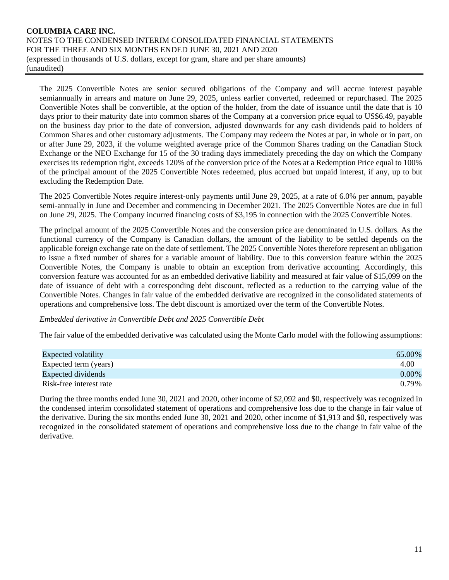The 2025 Convertible Notes are senior secured obligations of the Company and will accrue interest payable semiannually in arrears and mature on June 29, 2025, unless earlier converted, redeemed or repurchased. The 2025 Convertible Notes shall be convertible, at the option of the holder, from the date of issuance until the date that is 10 days prior to their maturity date into common shares of the Company at a conversion price equal to US\$6.49, payable on the business day prior to the date of conversion, adjusted downwards for any cash dividends paid to holders of Common Shares and other customary adjustments. The Company may redeem the Notes at par, in whole or in part, on or after June 29, 2023, if the volume weighted average price of the Common Shares trading on the Canadian Stock Exchange or the NEO Exchange for 15 of the 30 trading days immediately preceding the day on which the Company exercises its redemption right, exceeds 120% of the conversion price of the Notes at a Redemption Price equal to 100% of the principal amount of the 2025 Convertible Notes redeemed, plus accrued but unpaid interest, if any, up to but excluding the Redemption Date.

The 2025 Convertible Notes require interest-only payments until June 29, 2025, at a rate of 6.0% per annum, payable semi-annually in June and December and commencing in December 2021. The 2025 Convertible Notes are due in full on June 29, 2025. The Company incurred financing costs of \$3,195 in connection with the 2025 Convertible Notes.

The principal amount of the 2025 Convertible Notes and the conversion price are denominated in U.S. dollars. As the functional currency of the Company is Canadian dollars, the amount of the liability to be settled depends on the applicable foreign exchange rate on the date of settlement. The 2025 Convertible Notes therefore represent an obligation to issue a fixed number of shares for a variable amount of liability. Due to this conversion feature within the 2025 Convertible Notes, the Company is unable to obtain an exception from derivative accounting. Accordingly, this conversion feature was accounted for as an embedded derivative liability and measured at fair value of \$15,099 on the date of issuance of debt with a corresponding debt discount, reflected as a reduction to the carrying value of the Convertible Notes. Changes in fair value of the embedded derivative are recognized in the consolidated statements of operations and comprehensive loss. The debt discount is amortized over the term of the Convertible Notes.

#### *Embedded derivative in Convertible Debt and 2025 Convertible Debt*

The fair value of the embedded derivative was calculated using the Monte Carlo model with the following assumptions:

| <b>Expected volatility</b> | 65.00%   |
|----------------------------|----------|
| Expected term (years)      | 4.00     |
| Expected dividends         | $0.00\%$ |
| Risk-free interest rate    | 0.79%    |

During the three months ended June 30, 2021 and 2020, other income of \$2,092 and \$0, respectively was recognized in the condensed interim consolidated statement of operations and comprehensive loss due to the change in fair value of the derivative. During the six months ended June 30, 2021 and 2020, other income of \$1,913 and \$0, respectively was recognized in the consolidated statement of operations and comprehensive loss due to the change in fair value of the derivative.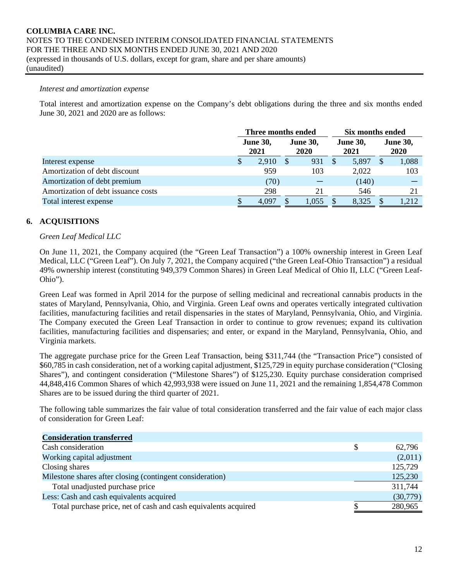#### *Interest and amortization expense*

Total interest and amortization expense on the Company's debt obligations during the three and six months ended June 30, 2021 and 2020 are as follows:

|                                     | Three months ended |                         |     |                                |    | Six months ended        |  |                                |  |
|-------------------------------------|--------------------|-------------------------|-----|--------------------------------|----|-------------------------|--|--------------------------------|--|
|                                     |                    | <b>June 30,</b><br>2021 |     | <b>June 30,</b><br><b>2020</b> |    | <b>June 30,</b><br>2021 |  | <b>June 30,</b><br><b>2020</b> |  |
| Interest expense                    |                    | 2.910                   | \$. | 931                            | \$ | 5,897                   |  | 1,088                          |  |
| Amortization of debt discount       |                    | 959                     |     | 103                            |    | 2,022                   |  | 103                            |  |
| Amortization of debt premium        |                    | (70)                    |     |                                |    | (140)                   |  |                                |  |
| Amortization of debt issuance costs |                    | 298                     |     | 21                             |    | 546                     |  | 21                             |  |
| Total interest expense              |                    | 4.097                   |     | .055                           |    | 8.325                   |  | 1.212                          |  |

# **6. ACQUISITIONS**

#### *Green Leaf Medical LLC*

On June 11, 2021, the Company acquired (the "Green Leaf Transaction") a 100% ownership interest in Green Leaf Medical, LLC ("Green Leaf"). On July 7, 2021, the Company acquired ("the Green Leaf-Ohio Transaction") a residual 49% ownership interest (constituting 949,379 Common Shares) in Green Leaf Medical of Ohio II, LLC ("Green Leaf-Ohio").

Green Leaf was formed in April 2014 for the purpose of selling medicinal and recreational cannabis products in the states of Maryland, Pennsylvania, Ohio, and Virginia. Green Leaf owns and operates vertically integrated cultivation facilities, manufacturing facilities and retail dispensaries in the states of Maryland, Pennsylvania, Ohio, and Virginia. The Company executed the Green Leaf Transaction in order to continue to grow revenues; expand its cultivation facilities, manufacturing facilities and dispensaries; and enter, or expand in the Maryland, Pennsylvania, Ohio, and Virginia markets.

The aggregate purchase price for the Green Leaf Transaction, being \$311,744 (the "Transaction Price") consisted of \$60,785 in cash consideration, net of a working capital adjustment, \$125,729 in equity purchase consideration ("Closing Shares"), and contingent consideration ("Milestone Shares") of \$125,230. Equity purchase consideration comprised 44,848,416 Common Shares of which 42,993,938 were issued on June 11, 2021 and the remaining 1,854,478 Common Shares are to be issued during the third quarter of 2021.

The following table summarizes the fair value of total consideration transferred and the fair value of each major class of consideration for Green Leaf:

| <b>Consideration transferred</b>                                |   |          |
|-----------------------------------------------------------------|---|----------|
| Cash consideration                                              | S | 62,796   |
| Working capital adjustment                                      |   | (2,011)  |
| Closing shares                                                  |   | 125,729  |
| Milestone shares after closing (contingent consideration)       |   | 125,230  |
| Total unadjusted purchase price                                 |   | 311,744  |
| Less: Cash and cash equivalents acquired                        |   | (30,779) |
| Total purchase price, net of cash and cash equivalents acquired |   | 280,965  |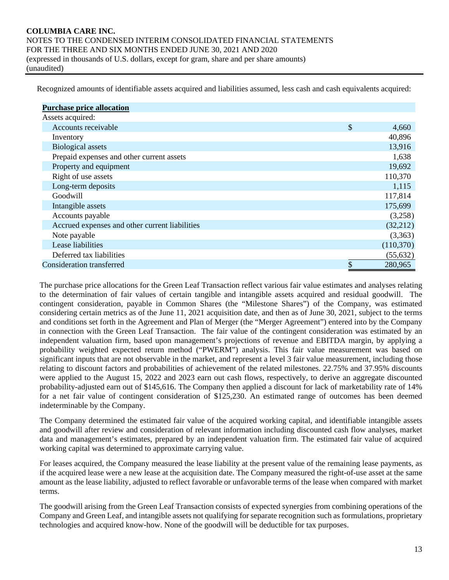Recognized amounts of identifiable assets acquired and liabilities assumed, less cash and cash equivalents acquired:

| <b>Purchase price allocation</b>               |               |
|------------------------------------------------|---------------|
| Assets acquired:                               |               |
| Accounts receivable                            | \$<br>4,660   |
| Inventory                                      | 40,896        |
| <b>Biological</b> assets                       | 13,916        |
| Prepaid expenses and other current assets      | 1,638         |
| Property and equipment                         | 19,692        |
| Right of use assets                            | 110,370       |
| Long-term deposits                             | 1,115         |
| Goodwill                                       | 117,814       |
| Intangible assets                              | 175,699       |
| Accounts payable                               | (3,258)       |
| Accrued expenses and other current liabilities | (32,212)      |
| Note payable                                   | (3,363)       |
| Lease liabilities                              | (110,370)     |
| Deferred tax liabilities                       | (55, 632)     |
| Consideration transferred                      | \$<br>280,965 |

The purchase price allocations for the Green Leaf Transaction reflect various fair value estimates and analyses relating to the determination of fair values of certain tangible and intangible assets acquired and residual goodwill. The contingent consideration, payable in Common Shares (the "Milestone Shares") of the Company, was estimated considering certain metrics as of the June 11, 2021 acquisition date, and then as of June 30, 2021, subject to the terms and conditions set forth in the Agreement and Plan of Merger (the "Merger Agreement") entered into by the Company in connection with the Green Leaf Transaction. The fair value of the contingent consideration was estimated by an independent valuation firm, based upon management's projections of revenue and EBITDA margin, by applying a probability weighted expected return method ("PWERM") analysis. This fair value measurement was based on significant inputs that are not observable in the market, and represent a level 3 fair value measurement, including those relating to discount factors and probabilities of achievement of the related milestones. 22.75% and 37.95% discounts were applied to the August 15, 2022 and 2023 earn out cash flows, respectively, to derive an aggregate discounted probability-adjusted earn out of \$145,616. The Company then applied a discount for lack of marketability rate of 14% for a net fair value of contingent consideration of \$125,230. An estimated range of outcomes has been deemed indeterminable by the Company.

The Company determined the estimated fair value of the acquired working capital, and identifiable intangible assets and goodwill after review and consideration of relevant information including discounted cash flow analyses, market data and management's estimates, prepared by an independent valuation firm. The estimated fair value of acquired working capital was determined to approximate carrying value.

For leases acquired, the Company measured the lease liability at the present value of the remaining lease payments, as if the acquired lease were a new lease at the acquisition date. The Company measured the right-of-use asset at the same amount as the lease liability, adjusted to reflect favorable or unfavorable terms of the lease when compared with market terms.

The goodwill arising from the Green Leaf Transaction consists of expected synergies from combining operations of the Company and Green Leaf, and intangible assets not qualifying for separate recognition such as formulations, proprietary technologies and acquired know-how. None of the goodwill will be deductible for tax purposes.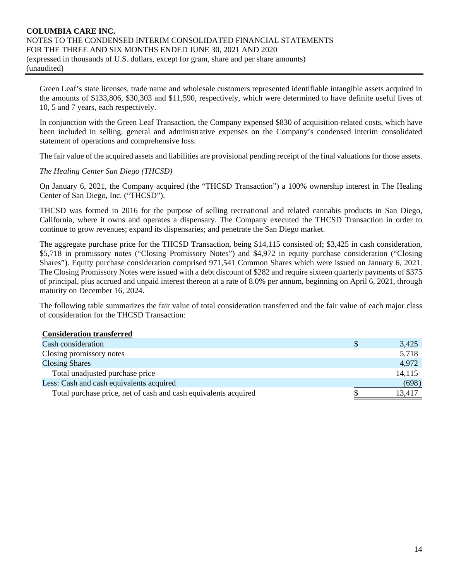Green Leaf's state licenses, trade name and wholesale customers represented identifiable intangible assets acquired in the amounts of \$133,806, \$30,303 and \$11,590, respectively, which were determined to have definite useful lives of 10, 5 and 7 years, each respectively.

In conjunction with the Green Leaf Transaction, the Company expensed \$830 of acquisition-related costs, which have been included in selling, general and administrative expenses on the Company's condensed interim consolidated statement of operations and comprehensive loss.

The fair value of the acquired assets and liabilities are provisional pending receipt of the final valuations for those assets.

*The Healing Center San Diego (THCSD)*

On January 6, 2021, the Company acquired (the "THCSD Transaction") a 100% ownership interest in The Healing Center of San Diego, Inc. ("THCSD").

THCSD was formed in 2016 for the purpose of selling recreational and related cannabis products in San Diego, California, where it owns and operates a dispensary. The Company executed the THCSD Transaction in order to continue to grow revenues; expand its dispensaries; and penetrate the San Diego market.

The aggregate purchase price for the THCSD Transaction, being \$14,115 consisted of; \$3,425 in cash consideration, \$5,718 in promissory notes ("Closing Promissory Notes") and \$4,972 in equity purchase consideration ("Closing Shares"). Equity purchase consideration comprised 971,541 Common Shares which were issued on January 6, 2021. The Closing Promissory Notes were issued with a debt discount of \$282 and require sixteen quarterly payments of \$375 of principal, plus accrued and unpaid interest thereon at a rate of 8.0% per annum, beginning on April 6, 2021, through maturity on December 16, 2024.

The following table summarizes the fair value of total consideration transferred and the fair value of each major class of consideration for the THCSD Transaction:

#### **Consideration transferred**

| Cash consideration                                              | 3,425  |
|-----------------------------------------------------------------|--------|
| Closing promissory notes                                        | 5,718  |
| <b>Closing Shares</b>                                           | 4,972  |
| Total unadjusted purchase price                                 | 14,115 |
| Less: Cash and cash equivalents acquired                        | (698)  |
| Total purchase price, net of cash and cash equivalents acquired | 13,417 |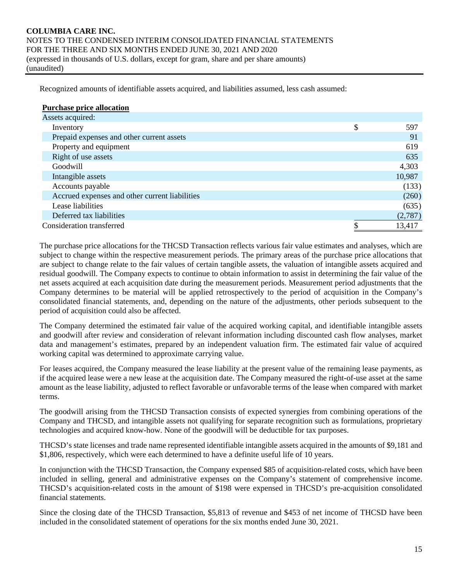Recognized amounts of identifiable assets acquired, and liabilities assumed, less cash assumed:

| <b>Purchase price allocation</b>               |           |
|------------------------------------------------|-----------|
| Assets acquired:                               |           |
| Inventory                                      | \$<br>597 |
| Prepaid expenses and other current assets      | 91        |
| Property and equipment                         | 619       |
| Right of use assets                            | 635       |
| Goodwill                                       | 4,303     |
| Intangible assets                              | 10,987    |
| Accounts payable                               | (133)     |
| Accrued expenses and other current liabilities | (260)     |
| Lease liabilities                              | (635)     |
| Deferred tax liabilities                       | (2,787)   |
| Consideration transferred                      | 13,417    |

The purchase price allocations for the THCSD Transaction reflects various fair value estimates and analyses, which are subject to change within the respective measurement periods. The primary areas of the purchase price allocations that are subject to change relate to the fair values of certain tangible assets, the valuation of intangible assets acquired and residual goodwill. The Company expects to continue to obtain information to assist in determining the fair value of the net assets acquired at each acquisition date during the measurement periods. Measurement period adjustments that the Company determines to be material will be applied retrospectively to the period of acquisition in the Company's consolidated financial statements, and, depending on the nature of the adjustments, other periods subsequent to the period of acquisition could also be affected.

The Company determined the estimated fair value of the acquired working capital, and identifiable intangible assets and goodwill after review and consideration of relevant information including discounted cash flow analyses, market data and management's estimates, prepared by an independent valuation firm. The estimated fair value of acquired working capital was determined to approximate carrying value.

For leases acquired, the Company measured the lease liability at the present value of the remaining lease payments, as if the acquired lease were a new lease at the acquisition date. The Company measured the right-of-use asset at the same amount as the lease liability, adjusted to reflect favorable or unfavorable terms of the lease when compared with market terms.

The goodwill arising from the THCSD Transaction consists of expected synergies from combining operations of the Company and THCSD, and intangible assets not qualifying for separate recognition such as formulations, proprietary technologies and acquired know-how. None of the goodwill will be deductible for tax purposes.

THCSD's state licenses and trade name represented identifiable intangible assets acquired in the amounts of \$9,181 and \$1,806, respectively, which were each determined to have a definite useful life of 10 years.

In conjunction with the THCSD Transaction, the Company expensed \$85 of acquisition-related costs, which have been included in selling, general and administrative expenses on the Company's statement of comprehensive income. THCSD's acquisition-related costs in the amount of \$198 were expensed in THCSD's pre-acquisition consolidated financial statements.

Since the closing date of the THCSD Transaction, \$5,813 of revenue and \$453 of net income of THCSD have been included in the consolidated statement of operations for the six months ended June 30, 2021.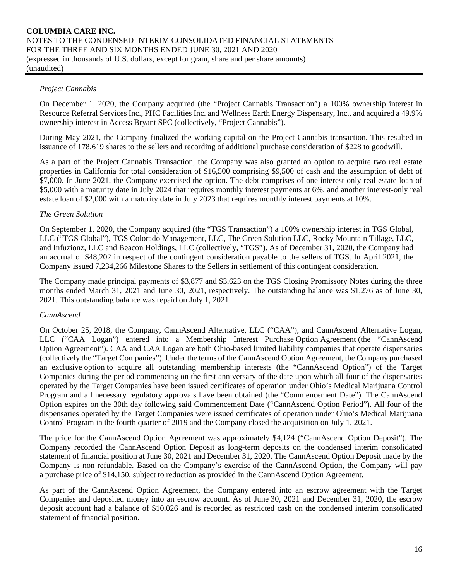#### *Project Cannabis*

On December 1, 2020, the Company acquired (the "Project Cannabis Transaction") a 100% ownership interest in Resource Referral Services Inc., PHC Facilities Inc. and Wellness Earth Energy Dispensary, Inc., and acquired a 49.9% ownership interest in Access Bryant SPC (collectively, "Project Cannabis").

During May 2021, the Company finalized the working capital on the Project Cannabis transaction. This resulted in issuance of 178,619 shares to the sellers and recording of additional purchase consideration of \$228 to goodwill.

As a part of the Project Cannabis Transaction, the Company was also granted an option to acquire two real estate properties in California for total consideration of \$16,500 comprising \$9,500 of cash and the assumption of debt of \$7,000. In June 2021, the Company exercised the option. The debt comprises of one interest-only real estate loan of \$5,000 with a maturity date in July 2024 that requires monthly interest payments at 6%, and another interest-only real estate loan of \$2,000 with a maturity date in July 2023 that requires monthly interest payments at 10%.

#### *The Green Solution*

On September 1, 2020, the Company acquired (the "TGS Transaction") a 100% ownership interest in TGS Global, LLC ("TGS Global"), TGS Colorado Management, LLC, The Green Solution LLC, Rocky Mountain Tillage, LLC, and Infuzionz, LLC and Beacon Holdings, LLC (collectively, "TGS"). As of December 31, 2020, the Company had an accrual of \$48,202 in respect of the contingent consideration payable to the sellers of TGS. In April 2021, the Company issued 7,234,266 Milestone Shares to the Sellers in settlement of this contingent consideration.

The Company made principal payments of \$3,877 and \$3,623 on the TGS Closing Promissory Notes during the three months ended March 31, 2021 and June 30, 2021, respectively. The outstanding balance was \$1,276 as of June 30, 2021. This outstanding balance was repaid on July 1, 2021.

#### *CannAscend*

On October 25, 2018, the Company, CannAscend Alternative, LLC ("CAA"), and CannAscend Alternative Logan, LLC ("CAA Logan") entered into a Membership Interest Purchase Option Agreement (the "CannAscend Option Agreement"). CAA and CAA Logan are both Ohio-based limited liability companies that operate dispensaries (collectively the "Target Companies"). Under the terms of the CannAscend Option Agreement, the Company purchased an exclusive option to acquire all outstanding membership interests (the "CannAscend Option") of the Target Companies during the period commencing on the first anniversary of the date upon which all four of the dispensaries operated by the Target Companies have been issued certificates of operation under Ohio's Medical Marijuana Control Program and all necessary regulatory approvals have been obtained (the "Commencement Date"). The CannAscend Option expires on the 30th day following said Commencement Date ("CannAscend Option Period"). All four of the dispensaries operated by the Target Companies were issued certificates of operation under Ohio's Medical Marijuana Control Program in the fourth quarter of 2019 and the Company closed the acquisition on July 1, 2021.

The price for the CannAscend Option Agreement was approximately \$4,124 ("CannAscend Option Deposit"). The Company recorded the CannAscend Option Deposit as long-term deposits on the condensed interim consolidated statement of financial position at June 30, 2021 and December 31, 2020. The CannAscend Option Deposit made by the Company is non-refundable. Based on the Company's exercise of the CannAscend Option, the Company will pay a purchase price of \$14,150, subject to reduction as provided in the CannAscend Option Agreement.

As part of the CannAscend Option Agreement, the Company entered into an escrow agreement with the Target Companies and deposited money into an escrow account. As of June 30, 2021 and December 31, 2020, the escrow deposit account had a balance of \$10,026 and is recorded as restricted cash on the condensed interim consolidated statement of financial position.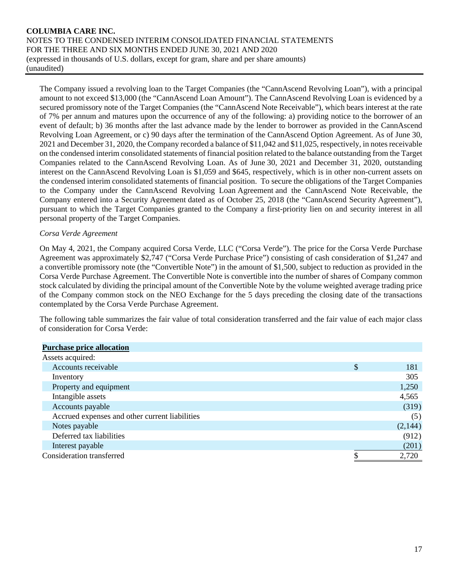The Company issued a revolving loan to the Target Companies (the "CannAscend Revolving Loan"), with a principal amount to not exceed \$13,000 (the "CannAscend Loan Amount"). The CannAscend Revolving Loan is evidenced by a secured promissory note of the Target Companies (the "CannAscend Note Receivable"), which bears interest at the rate of 7% per annum and matures upon the occurrence of any of the following: a) providing notice to the borrower of an event of default; b) 36 months after the last advance made by the lender to borrower as provided in the CannAscend Revolving Loan Agreement, or c) 90 days after the termination of the CannAscend Option Agreement. As of June 30, 2021 and December 31, 2020, the Company recorded a balance of \$11,042 and \$11,025, respectively, in notes receivable on the condensed interim consolidated statements of financial position related to the balance outstanding from the Target Companies related to the CannAscend Revolving Loan. As of June 30, 2021 and December 31, 2020, outstanding interest on the CannAscend Revolving Loan is \$1,059 and \$645, respectively, which is in other non-current assets on the condensed interim consolidated statements of financial position. To secure the obligations of the Target Companies to the Company under the CannAscend Revolving Loan Agreement and the CannAscend Note Receivable, the Company entered into a Security Agreement dated as of October 25, 2018 (the "CannAscend Security Agreement"), pursuant to which the Target Companies granted to the Company a first-priority lien on and security interest in all personal property of the Target Companies.

#### *Corsa Verde Agreement*

On May 4, 2021, the Company acquired Corsa Verde, LLC ("Corsa Verde"). The price for the Corsa Verde Purchase Agreement was approximately \$2,747 ("Corsa Verde Purchase Price") consisting of cash consideration of \$1,247 and a convertible promissory note (the "Convertible Note") in the amount of \$1,500, subject to reduction as provided in the Corsa Verde Purchase Agreement. The Convertible Note is convertible into the number of shares of Company common stock calculated by dividing the principal amount of the Convertible Note by the volume weighted average trading price of the Company common stock on the NEO Exchange for the 5 days preceding the closing date of the transactions contemplated by the Corsa Verde Purchase Agreement.

The following table summarizes the fair value of total consideration transferred and the fair value of each major class of consideration for Corsa Verde:

| <b>Purchase price allocation</b>               |           |
|------------------------------------------------|-----------|
| Assets acquired:                               |           |
| Accounts receivable                            | \$<br>181 |
| Inventory                                      | 305       |
| Property and equipment                         | 1,250     |
| Intangible assets                              | 4,565     |
| Accounts payable                               | (319)     |
| Accrued expenses and other current liabilities | (5)       |
| Notes payable                                  | (2,144)   |
| Deferred tax liabilities                       | (912)     |
| Interest payable                               | (201)     |
| Consideration transferred                      | 2,720     |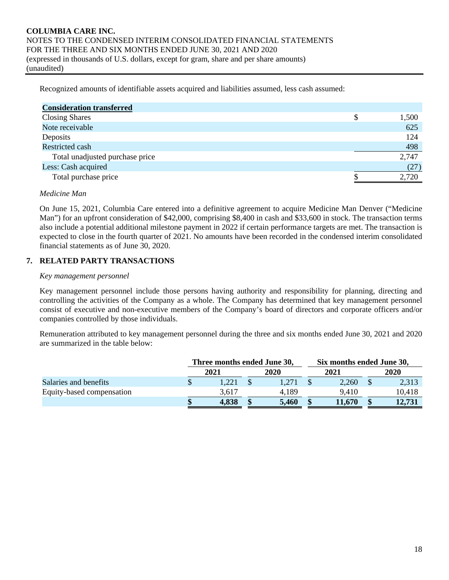Recognized amounts of identifiable assets acquired and liabilities assumed, less cash assumed:

| <b>Consideration transferred</b> |       |
|----------------------------------|-------|
| <b>Closing Shares</b>            | 1,500 |
| Note receivable                  | 625   |
| Deposits                         | 124   |
| <b>Restricted cash</b>           | 498   |
| Total unadjusted purchase price  | 2,747 |
| Less: Cash acquired              | (27)  |
| Total purchase price             | 2,720 |

#### *Medicine Man*

On June 15, 2021, Columbia Care entered into a definitive agreement to acquire Medicine Man Denver ("Medicine Man") for an upfront consideration of \$42,000, comprising \$8,400 in cash and \$33,600 in stock. The transaction terms also include a potential additional milestone payment in 2022 if certain performance targets are met. The transaction is expected to close in the fourth quarter of 2021. No amounts have been recorded in the condensed interim consolidated financial statements as of June 30, 2020.

# **7. RELATED PARTY TRANSACTIONS**

#### *Key management personnel*

Key management personnel include those persons having authority and responsibility for planning, directing and controlling the activities of the Company as a whole. The Company has determined that key management personnel consist of executive and non-executive members of the Company's board of directors and corporate officers and/or companies controlled by those individuals.

Remuneration attributed to key management personnel during the three and six months ended June 30, 2021 and 2020 are summarized in the table below:

|                           |      | Three months ended June 30, |  |       |        | Six months ended June 30, |        |  |  |
|---------------------------|------|-----------------------------|--|-------|--------|---------------------------|--------|--|--|
|                           | 2021 |                             |  | 2020  | 2021   | 2020                      |        |  |  |
| Salaries and benefits     |      | .221                        |  |       | 2,260  |                           | 2,313  |  |  |
| Equity-based compensation |      | 3.617                       |  | 4.189 | 9.410  |                           | 10,418 |  |  |
|                           |      | 4,838                       |  | 5,460 | 11,670 |                           | 12.731 |  |  |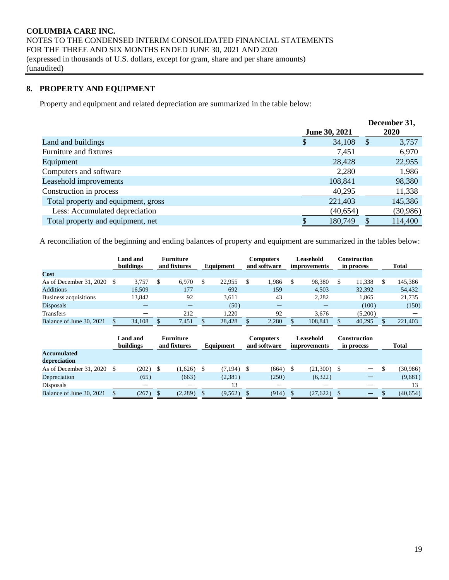# **8. PROPERTY AND EQUIPMENT**

Property and equipment and related depreciation are summarized in the table below:

|                                     |               |           | December 31,                       |
|-------------------------------------|---------------|-----------|------------------------------------|
|                                     | June 30, 2021 |           | <b>2020</b>                        |
| Land and buildings                  | \$            | 34,108    | $\boldsymbol{\mathsf{S}}$<br>3,757 |
| Furniture and fixtures              |               | 7,451     | 6,970                              |
| Equipment                           |               | 28,428    | 22,955                             |
| Computers and software              |               | 2,280     | 1,986                              |
| Leasehold improvements              |               | 108,841   | 98,380                             |
| Construction in process             |               | 40,295    | 11,338                             |
| Total property and equipment, gross |               | 221,403   | 145,386                            |
| Less: Accumulated depreciation      |               | (40, 654) | (30, 986)                          |
| Total property and equipment, net   |               | 180,749   | 114,400                            |

A reconciliation of the beginning and ending balances of property and equipment are summarized in the tables below:

|                                 | Land and<br>buildings |        | <b>Furniture</b><br>and fixtures |       | <b>Equipment</b> |        | Computers<br>and software |       | Leasehold<br>improvements |         | Construction<br>in process | <b>Total</b> |
|---------------------------------|-----------------------|--------|----------------------------------|-------|------------------|--------|---------------------------|-------|---------------------------|---------|----------------------------|--------------|
| Cost                            |                       |        |                                  |       |                  |        |                           |       |                           |         |                            |              |
| As of December 31, 2020 $\,$ \$ |                       | 3.757  |                                  | 6.970 |                  | 22,955 |                           | 1.986 | S                         | 98.380  | 11,338                     | 145,386      |
| <b>Additions</b>                |                       | 16.509 |                                  | 177   |                  | 692    |                           | 159   |                           | 4.503   | 32.392                     | 54,432       |
| Business acquisitions           |                       | 13,842 |                                  | 92    |                  | 3.611  |                           | 43    |                           | 2.282   | 1.865                      | 21,735       |
| <b>Disposals</b>                |                       |        |                                  |       |                  | (50)   |                           |       |                           |         | (100)                      | (150)        |
| <b>Transfers</b>                |                       | –      |                                  | 212   |                  | .220   |                           | 92    |                           | 3.676   | (5,200)                    |              |
| Balance of June 30, 2021        |                       | 34,108 |                                  | 7,451 |                  | 28,428 |                           | 2,280 |                           | 108.841 | 40,295                     | 221,403      |

|                                    | Land and<br>buildings |            | <b>Furniture</b><br>and fixtures |  | Equipment    | <b>Computers</b><br>and software |       |  | Leasehold<br>improvements | Construction<br>in process   | <b>Total</b> |  |  |
|------------------------------------|-----------------------|------------|----------------------------------|--|--------------|----------------------------------|-------|--|---------------------------|------------------------------|--------------|--|--|
| <b>Accumulated</b><br>depreciation |                       |            |                                  |  |              |                                  |       |  |                           |                              |              |  |  |
| As of December 31, 2020            |                       | $(202)$ \$ | $(1,626)$ \$                     |  | $(7,194)$ \$ |                                  | (664) |  | (21,300)                  | $\qquad \qquad \blacksquare$ | (30,986)     |  |  |
| Depreciation                       |                       | (65)       | (663)                            |  | (2,381)      |                                  | (250) |  | (6,322)                   |                              | (9,681)      |  |  |
| Disposals                          |                       |            |                                  |  | 13           |                                  |       |  |                           |                              |              |  |  |
| Balance of June 30, 2021           |                       | (267)      | (2,289)                          |  | (9, 562)     |                                  | (914) |  | (27, 622)                 | $\qquad \qquad \qquad$       | (40, 654)    |  |  |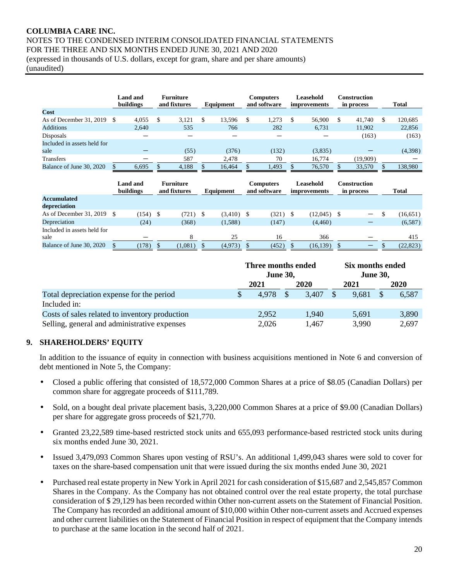(unaudited)

|                             | Land and<br>buildings |       | <b>Furniture</b><br>and fixtures |       | Equipment |        | <b>Computers</b><br>and software |       | Leasehold<br><i>improvements</i> |         | Construction<br>in process | <b>Total</b> |
|-----------------------------|-----------------------|-------|----------------------------------|-------|-----------|--------|----------------------------------|-------|----------------------------------|---------|----------------------------|--------------|
| Cost                        |                       |       |                                  |       |           |        |                                  |       |                                  |         |                            |              |
| As of December 31, 2019     | - \$                  | 4,055 |                                  | 3.121 |           | 13,596 | S                                | 1,273 |                                  | 56,900  | \$<br>41.740               | 120,685      |
| <b>Additions</b>            |                       | 2.640 |                                  | 535   |           | 766    |                                  | 282   |                                  | 6.731   | 11.902                     | 22,856       |
| Disposals                   |                       |       |                                  |       |           |        |                                  |       |                                  |         | (163)                      | (163)        |
| Included in assets held for |                       |       |                                  |       |           |        |                                  |       |                                  |         |                            |              |
| sale                        |                       |       |                                  | (55)  |           | (376)  |                                  | (132) |                                  | (3,835) |                            | (4,398)      |
| Transfers                   |                       |       |                                  | 587   |           | 2.478  |                                  | 70    |                                  | 16.774  | (19,909)                   |              |
| Balance of June 30, 2020    |                       | 6,695 |                                  | 4.188 |           | 16.464 |                                  | 1,493 |                                  | 76,570  | 33.570                     | 138.980      |

|                                    | Land and<br>buildings |            | <b>Furniture</b><br>and fixtures |               | Equipment |              | <b>Computers</b><br>and software |       | Leasehold<br><i>improvements</i> |           | Construction<br>in process |                          | <b>Total</b> |
|------------------------------------|-----------------------|------------|----------------------------------|---------------|-----------|--------------|----------------------------------|-------|----------------------------------|-----------|----------------------------|--------------------------|--------------|
| <b>Accumulated</b><br>depreciation |                       |            |                                  |               |           |              |                                  |       |                                  |           |                            |                          |              |
| As of December 31, 2019            |                       | $(154)$ \$ |                                  | (721)<br>- \$ |           | $(3,410)$ \$ |                                  | (321) |                                  | (12,045)  |                            | $-$                      | (16, 651)    |
| Depreciation                       |                       | (24)       |                                  | (368)         |           | (1,588)      |                                  | (147) |                                  | (4,460)   |                            |                          | (6,587)      |
| Included in assets held for        |                       |            |                                  |               |           |              |                                  |       |                                  |           |                            |                          |              |
| sale                               |                       |            |                                  |               |           | 25           |                                  | 16    |                                  | 366       |                            |                          | 415          |
| Balance of June 30, 2020           |                       | (178)      | (1,081)                          |               |           | (4,973)      |                                  | (452) |                                  | (16, 139) |                            | $\overline{\phantom{0}}$ | (22, 823)    |

|                                                | Three months ended<br><b>June 30,</b> |       |      |       |  | Six months ended<br><b>June 30,</b> |  |       |  |
|------------------------------------------------|---------------------------------------|-------|------|-------|--|-------------------------------------|--|-------|--|
|                                                | 2021                                  |       | 2020 |       |  | 2021                                |  | 2020  |  |
| Total depreciation expense for the period      |                                       | 4.978 |      | 3.407 |  | 9,681                               |  | 6,587 |  |
| Included in:                                   |                                       |       |      |       |  |                                     |  |       |  |
| Costs of sales related to inventory production |                                       | 2,952 |      | 1.940 |  | 5.691                               |  | 3,890 |  |
| Selling, general and administrative expenses   |                                       | 2,026 |      | 1.467 |  | 3,990                               |  | 2,697 |  |

# **9. SHAREHOLDERS' EQUITY**

In addition to the issuance of equity in connection with business acquisitions mentioned in Note 6 and conversion of debt mentioned in Note 5, the Company:

- Closed a public offering that consisted of 18,572,000 Common Shares at a price of \$8.05 (Canadian Dollars) per common share for aggregate proceeds of \$111,789.
- Sold, on a bought deal private placement basis, 3,220,000 Common Shares at a price of \$9.00 (Canadian Dollars) per share for aggregate gross proceeds of \$21,770.
- Granted 23,22,589 time-based restricted stock units and 655,093 performance-based restricted stock units during six months ended June 30, 2021.
- Issued 3,479,093 Common Shares upon vesting of RSU's. An additional 1,499,043 shares were sold to cover for taxes on the share-based compensation unit that were issued during the six months ended June 30, 2021
- Purchased real estate property in New York in April 2021 for cash consideration of \$15,687 and 2,545,857 Common Shares in the Company. As the Company has not obtained control over the real estate property, the total purchase consideration of \$ 29,129 has been recorded within Other non-current assets on the Statement of Financial Position. The Company has recorded an additional amount of \$10,000 within Other non-current assets and Accrued expenses and other current liabilities on the Statement of Financial Position in respect of equipment that the Company intends to purchase at the same location in the second half of 2021.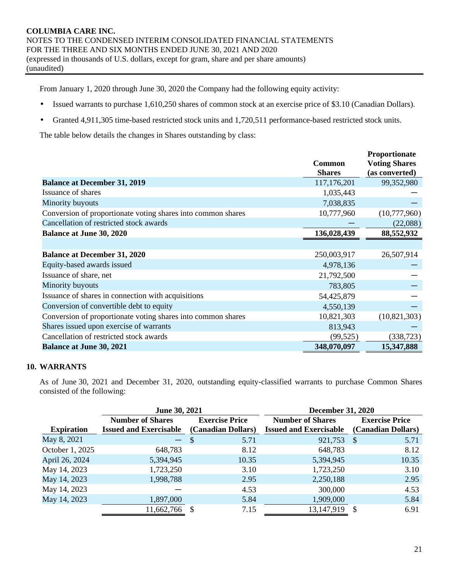From January 1, 2020 through June 30, 2020 the Company had the following equity activity:

- Issued warrants to purchase 1,610,250 shares of common stock at an exercise price of \$3.10 (Canadian Dollars).
- Granted 4,911,305 time-based restricted stock units and 1,720,511 performance-based restricted stock units.

The table below details the changes in Shares outstanding by class:

|                                                              |               | Proportionate        |
|--------------------------------------------------------------|---------------|----------------------|
|                                                              | <b>Common</b> | <b>Voting Shares</b> |
|                                                              | <b>Shares</b> | (as converted)       |
| <b>Balance at December 31, 2019</b>                          | 117,176,201   | 99,352,980           |
| Issuance of shares                                           | 1,035,443     |                      |
| Minority buyouts                                             | 7,038,835     |                      |
| Conversion of proportionate voting shares into common shares | 10,777,960    | (10,777,960)         |
| Cancellation of restricted stock awards                      |               | (22,088)             |
| <b>Balance at June 30, 2020</b>                              | 136,028,439   | 88,552,932           |
|                                                              |               |                      |
| <b>Balance at December 31, 2020</b>                          | 250,003,917   | 26,507,914           |
| Equity-based awards issued                                   | 4,978,136     |                      |
| Issuance of share, net                                       | 21,792,500    |                      |
| Minority buyouts                                             | 783,805       |                      |
| Issuance of shares in connection with acquisitions           | 54,425,879    |                      |
| Conversion of convertible debt to equity                     | 4,550,139     |                      |
| Conversion of proportionate voting shares into common shares | 10,821,303    | (10, 821, 303)       |
| Shares issued upon exercise of warrants                      | 813,943       |                      |
| Cancellation of restricted stock awards                      | (99, 525)     | (338, 723)           |
| <b>Balance at June 30, 2021</b>                              | 348,070,097   | 15,347,888           |
|                                                              |               |                      |

# **10. WARRANTS**

As of June 30, 2021 and December 31, 2020, outstanding equity-classified warrants to purchase Common Shares consisted of the following:

|                   | June 30, 2021                 |                       | <b>December 31, 2020</b>      |                       |
|-------------------|-------------------------------|-----------------------|-------------------------------|-----------------------|
|                   | <b>Number of Shares</b>       | <b>Exercise Price</b> | <b>Number of Shares</b>       | <b>Exercise Price</b> |
| <b>Expiration</b> | <b>Issued and Exercisable</b> | (Canadian Dollars)    | <b>Issued and Exercisable</b> | (Canadian Dollars)    |
| May 8, 2021       | $-$ \$                        | 5.71                  | 921,753                       | -S<br>5.71            |
| October 1, 2025   | 648,783                       | 8.12                  | 648,783                       | 8.12                  |
| April 26, 2024    | 5,394,945                     | 10.35                 | 5,394,945                     | 10.35                 |
| May 14, 2023      | 1,723,250                     | 3.10                  | 1,723,250                     | 3.10                  |
| May 14, 2023      | 1,998,788                     | 2.95                  | 2,250,188                     | 2.95                  |
| May 14, 2023      |                               | 4.53                  | 300,000                       | 4.53                  |
| May 14, 2023      | 1,897,000                     | 5.84                  | 1,909,000                     | 5.84                  |
|                   | 11,662,766                    | 7.15                  | 13,147,919                    | 6.91                  |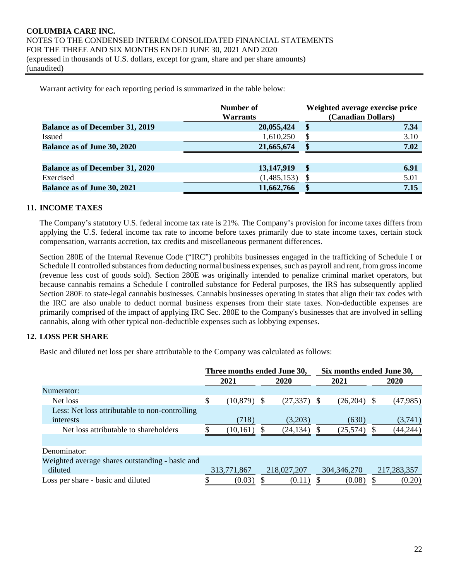Warrant activity for each reporting period is summarized in the table below:

|                                        | Number of<br><b>Warrants</b> | Weighted average exercise price<br>(Canadian Dollars) |
|----------------------------------------|------------------------------|-------------------------------------------------------|
| <b>Balance as of December 31, 2019</b> | 20,055,424                   | $\mathbf{\$}$<br>7.34                                 |
| <b>Issued</b>                          | 1,610,250                    | 3.10<br>\$                                            |
| <b>Balance as of June 30, 2020</b>     | 21,665,674                   | 7.02<br>S                                             |
|                                        |                              |                                                       |
| <b>Balance as of December 31, 2020</b> | 13,147,919                   | \$<br>6.91                                            |
| Exercised                              | (1,485,153)                  | 5.01                                                  |
| <b>Balance as of June 30, 2021</b>     | 11,662,766                   | 7.15<br>\$                                            |

#### **11. INCOME TAXES**

The Company's statutory U.S. federal income tax rate is 21%. The Company's provision for income taxes differs from applying the U.S. federal income tax rate to income before taxes primarily due to state income taxes, certain stock compensation, warrants accretion, tax credits and miscellaneous permanent differences.

Section 280E of the Internal Revenue Code ("IRC") prohibits businesses engaged in the trafficking of Schedule I or Schedule II controlled substances from deducting normal business expenses, such as payroll and rent, from gross income (revenue less cost of goods sold). Section 280E was originally intended to penalize criminal market operators, but because cannabis remains a Schedule I controlled substance for Federal purposes, the IRS has subsequently applied Section 280E to state-legal cannabis businesses. Cannabis businesses operating in states that align their tax codes with the IRC are also unable to deduct normal business expenses from their state taxes. Non-deductible expenses are primarily comprised of the impact of applying IRC Sec. 280E to the Company's businesses that are involved in selling cannabis, along with other typical non-deductible expenses such as lobbying expenses.

# **12. LOSS PER SHARE**

Basic and diluted net loss per share attributable to the Company was calculated as follows:

|                                                 | Three months ended June 30, |              |                |   | Six months ended June 30, |   |             |  |
|-------------------------------------------------|-----------------------------|--------------|----------------|---|---------------------------|---|-------------|--|
|                                                 | 2021                        |              | 2020           |   | 2021                      |   | 2020        |  |
| Numerator:                                      |                             |              |                |   |                           |   |             |  |
| Net loss                                        | \$<br>$(10,879)$ \$         |              | $(27, 337)$ \$ |   | $(26,204)$ \$             |   | (47,985)    |  |
| Less: Net loss attributable to non-controlling  |                             |              |                |   |                           |   |             |  |
| interests                                       | (718)                       |              | (3,203)        |   | (630)                     |   | (3,741)     |  |
| Net loss attributable to shareholders           | (10, 161)                   | <sup>S</sup> | (24, 134)      | S | (25,574)                  | S | (44, 244)   |  |
|                                                 |                             |              |                |   |                           |   |             |  |
| Denominator:                                    |                             |              |                |   |                           |   |             |  |
| Weighted average shares outstanding - basic and |                             |              |                |   |                           |   |             |  |
| diluted                                         | 313,771,867                 |              | 218,027,207    |   | 304, 346, 270             |   | 217,283,357 |  |
| Loss per share - basic and diluted              | (0.03)                      |              | (0.11)         |   | (0.08)                    |   | (0.20)      |  |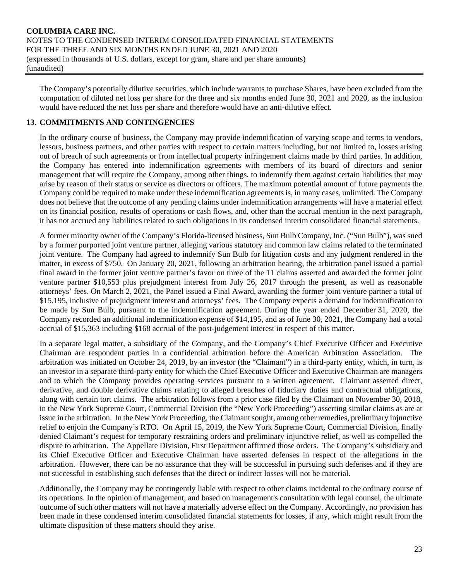The Company's potentially dilutive securities, which include warrants to purchase Shares, have been excluded from the computation of diluted net loss per share for the three and six months ended June 30, 2021 and 2020, as the inclusion would have reduced the net loss per share and therefore would have an anti-dilutive effect.

# **13. COMMITMENTS AND CONTINGENCIES**

In the ordinary course of business, the Company may provide indemnification of varying scope and terms to vendors, lessors, business partners, and other parties with respect to certain matters including, but not limited to, losses arising out of breach of such agreements or from intellectual property infringement claims made by third parties. In addition, the Company has entered into indemnification agreements with members of its board of directors and senior management that will require the Company, among other things, to indemnify them against certain liabilities that may arise by reason of their status or service as directors or officers. The maximum potential amount of future payments the Company could be required to make under these indemnification agreements is, in many cases, unlimited. The Company does not believe that the outcome of any pending claims under indemnification arrangements will have a material effect on its financial position, results of operations or cash flows, and, other than the accrual mention in the next paragraph, it has not accrued any liabilities related to such obligations in its condensed interim consolidated financial statements.

A former minority owner of the Company's Florida-licensed business, Sun Bulb Company, Inc. ("Sun Bulb"), was sued by a former purported joint venture partner, alleging various statutory and common law claims related to the terminated joint venture. The Company had agreed to indemnify Sun Bulb for litigation costs and any judgment rendered in the matter, in excess of \$750. On January 20, 2021, following an arbitration hearing, the arbitration panel issued a partial final award in the former joint venture partner's favor on three of the 11 claims asserted and awarded the former joint venture partner \$10,553 plus prejudgment interest from July 26, 2017 through the present, as well as reasonable attorneys' fees. On March 2, 2021, the Panel issued a Final Award, awarding the former joint venture partner a total of \$15,195, inclusive of prejudgment interest and attorneys' fees. The Company expects a demand for indemnification to be made by Sun Bulb, pursuant to the indemnification agreement. During the year ended December 31, 2020, the Company recorded an additional indemnification expense of \$14,195, and as of June 30, 2021, the Company had a total accrual of \$15,363 including \$168 accrual of the post-judgement interest in respect of this matter.

In a separate legal matter, a subsidiary of the Company, and the Company's Chief Executive Officer and Executive Chairman are respondent parties in a confidential arbitration before the American Arbitration Association. The arbitration was initiated on October 24, 2019, by an investor (the "Claimant") in a third-party entity, which, in turn, is an investor in a separate third-party entity for which the Chief Executive Officer and Executive Chairman are managers and to which the Company provides operating services pursuant to a written agreement. Claimant asserted direct, derivative, and double derivative claims relating to alleged breaches of fiduciary duties and contractual obligations, along with certain tort claims. The arbitration follows from a prior case filed by the Claimant on November 30, 2018, in the New York Supreme Court, Commercial Division (the "New York Proceeding") asserting similar claims as are at issue in the arbitration. In the New York Proceeding, the Claimant sought, among other remedies, preliminary injunctive relief to enjoin the Company's RTO. On April 15, 2019, the New York Supreme Court, Commercial Division, finally denied Claimant's request for temporary restraining orders and preliminary injunctive relief, as well as compelled the dispute to arbitration. The Appellate Division, First Department affirmed those orders. The Company's subsidiary and its Chief Executive Officer and Executive Chairman have asserted defenses in respect of the allegations in the arbitration. However, there can be no assurance that they will be successful in pursuing such defenses and if they are not successful in establishing such defenses that the direct or indirect losses will not be material.

Additionally, the Company may be contingently liable with respect to other claims incidental to the ordinary course of its operations. In the opinion of management, and based on management's consultation with legal counsel, the ultimate outcome of such other matters will not have a materially adverse effect on the Company. Accordingly, no provision has been made in these condensed interim consolidated financial statements for losses, if any, which might result from the ultimate disposition of these matters should they arise.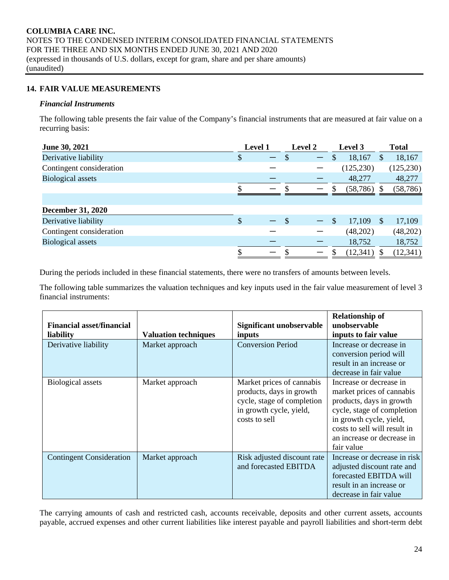# **14. FAIR VALUE MEASUREMENTS**

#### *Financial Instruments*

The following table presents the fair value of the Company's financial instruments that are measured at fair value on a recurring basis:

| June 30, 2021            | Level 1 |  |               |                   | <b>Level 2</b> |            | Level 3       |            |  | <b>Total</b> |  |
|--------------------------|---------|--|---------------|-------------------|----------------|------------|---------------|------------|--|--------------|--|
| Derivative liability     | \$      |  |               | $\qquad \qquad -$ | S              | 18,167     | <sup>\$</sup> | 18,167     |  |              |  |
| Contingent consideration |         |  |               |                   |                | (125, 230) |               | (125, 230) |  |              |  |
| <b>Biological assets</b> |         |  |               |                   |                | 48,277     |               | 48,277     |  |              |  |
|                          |         |  |               |                   |                | (58, 786)  |               | (58, 786)  |  |              |  |
|                          |         |  |               |                   |                |            |               |            |  |              |  |
| <b>December 31, 2020</b> |         |  |               |                   |                |            |               |            |  |              |  |
| Derivative liability     | \$      |  | $\mathcal{S}$ |                   | <sup>\$</sup>  | 17,109     | -S            | 17,109     |  |              |  |
| Contingent consideration |         |  |               |                   |                | (48,202)   |               | (48,202)   |  |              |  |
| <b>Biological assets</b> |         |  |               |                   |                | 18,752     |               | 18,752     |  |              |  |
|                          |         |  |               |                   |                | (12, 341)  |               | (12, 341)  |  |              |  |

During the periods included in these financial statements, there were no transfers of amounts between levels.

The following table summarizes the valuation techniques and key inputs used in the fair value measurement of level 3 financial instruments:

| <b>Financial asset/financial</b><br>liability | <b>Valuation techniques</b> | Significant unobservable<br>inputs                                                                                              | <b>Relationship of</b><br>unobservable<br>inputs to fair value                                                                                                                                                        |
|-----------------------------------------------|-----------------------------|---------------------------------------------------------------------------------------------------------------------------------|-----------------------------------------------------------------------------------------------------------------------------------------------------------------------------------------------------------------------|
| Derivative liability                          | Market approach             | <b>Conversion Period</b>                                                                                                        | Increase or decrease in<br>conversion period will<br>result in an increase or<br>decrease in fair value                                                                                                               |
| <b>Biological assets</b>                      | Market approach             | Market prices of cannabis<br>products, days in growth<br>cycle, stage of completion<br>in growth cycle, yield,<br>costs to sell | Increase or decrease in<br>market prices of cannabis<br>products, days in growth<br>cycle, stage of completion<br>in growth cycle, yield,<br>costs to sell will result in<br>an increase or decrease in<br>fair value |
| <b>Contingent Consideration</b>               | Market approach             | Risk adjusted discount rate<br>and forecasted EBITDA                                                                            | Increase or decrease in risk<br>adjusted discount rate and<br>forecasted EBITDA will<br>result in an increase or<br>decrease in fair value                                                                            |

The carrying amounts of cash and restricted cash, accounts receivable, deposits and other current assets, accounts payable, accrued expenses and other current liabilities like interest payable and payroll liabilities and short-term debt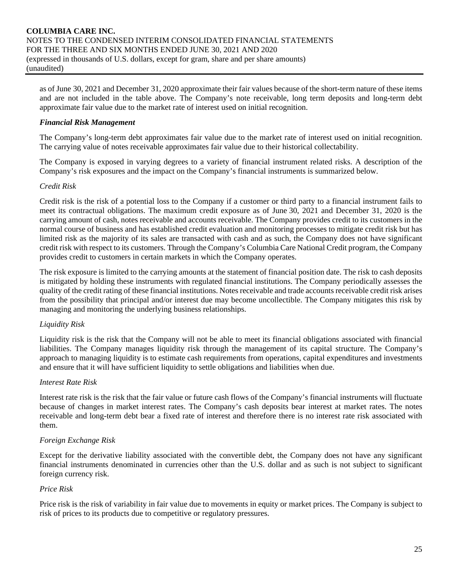as of June 30, 2021 and December 31, 2020 approximate their fair values because of the short-term nature of these items and are not included in the table above. The Company's note receivable, long term deposits and long-term debt approximate fair value due to the market rate of interest used on initial recognition.

# *Financial Risk Management*

The Company's long-term debt approximates fair value due to the market rate of interest used on initial recognition. The carrying value of notes receivable approximates fair value due to their historical collectability.

The Company is exposed in varying degrees to a variety of financial instrument related risks. A description of the Company's risk exposures and the impact on the Company's financial instruments is summarized below.

# *Credit Risk*

Credit risk is the risk of a potential loss to the Company if a customer or third party to a financial instrument fails to meet its contractual obligations. The maximum credit exposure as of June 30, 2021 and December 31, 2020 is the carrying amount of cash, notes receivable and accounts receivable. The Company provides credit to its customers in the normal course of business and has established credit evaluation and monitoring processes to mitigate credit risk but has limited risk as the majority of its sales are transacted with cash and as such, the Company does not have significant credit risk with respect to its customers. Through the Company's Columbia Care National Credit program, the Company provides credit to customers in certain markets in which the Company operates.

The risk exposure is limited to the carrying amounts at the statement of financial position date. The risk to cash deposits is mitigated by holding these instruments with regulated financial institutions. The Company periodically assesses the quality of the credit rating of these financial institutions. Notes receivable and trade accounts receivable credit risk arises from the possibility that principal and/or interest due may become uncollectible. The Company mitigates this risk by managing and monitoring the underlying business relationships.

# *Liquidity Risk*

Liquidity risk is the risk that the Company will not be able to meet its financial obligations associated with financial liabilities. The Company manages liquidity risk through the management of its capital structure. The Company's approach to managing liquidity is to estimate cash requirements from operations, capital expenditures and investments and ensure that it will have sufficient liquidity to settle obligations and liabilities when due.

# *Interest Rate Risk*

Interest rate risk is the risk that the fair value or future cash flows of the Company's financial instruments will fluctuate because of changes in market interest rates. The Company's cash deposits bear interest at market rates. The notes receivable and long-term debt bear a fixed rate of interest and therefore there is no interest rate risk associated with them.

#### *Foreign Exchange Risk*

Except for the derivative liability associated with the convertible debt, the Company does not have any significant financial instruments denominated in currencies other than the U.S. dollar and as such is not subject to significant foreign currency risk.

#### *Price Risk*

Price risk is the risk of variability in fair value due to movements in equity or market prices. The Company is subject to risk of prices to its products due to competitive or regulatory pressures.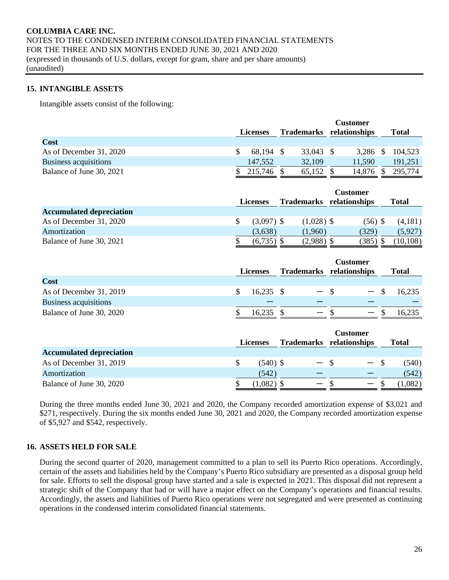#### **15. INTANGIBLE ASSETS**

Intangible assets consist of the following:

|                              |                 | <b>Customer</b> |            |  |               |  |         |
|------------------------------|-----------------|-----------------|------------|--|---------------|--|---------|
|                              | <b>Licenses</b> |                 | Trademarks |  | relationships |  | Total   |
| Cost                         |                 |                 |            |  |               |  |         |
| As of December 31, 2020      | 68,194          |                 | 33,043 \$  |  | 3.286         |  | 104,523 |
| <b>Business acquisitions</b> | 147,552         |                 | 32,109     |  | 11,590        |  | 191.251 |
| Balance of June 30, 2021     | 215,746         |                 | 65,152     |  | 14.876        |  | 295,774 |

|                                 | <b>Licenses</b>    | <b>Trademarks</b> | <b>Customer</b><br>relationships | Total     |
|---------------------------------|--------------------|-------------------|----------------------------------|-----------|
| <b>Accumulated depreciation</b> |                    |                   |                                  |           |
| As of December 31, 2020         | \$<br>$(3,097)$ \$ | $(1,028)$ \$      | $(56)$ \$                        | (4,181)   |
| Amortization                    | (3,638)            | (1.960)           | (329)                            | (5,927)   |
| Balance of June 30, 2021        | $(6,735)$ \$       | $(2,988)$ \$      | (385) \$                         | (10, 108) |

|                              | <b>Licenses</b> |                   | <b>Customer</b><br>Trademarks relationships | <b>Total</b> |
|------------------------------|-----------------|-------------------|---------------------------------------------|--------------|
| Cost                         |                 |                   |                                             |              |
| As of December 31, 2019      | $16,235$ \$     | $-$ S             | $-$ \$                                      | 16,235       |
| <b>Business acquisitions</b> |                 |                   |                                             |              |
| Balance of June 30, 2020     | 16.235          | $\hspace{0.05cm}$ | $\overline{\phantom{a}}$                    | 16.235       |

|                                 |   | <b>Licenses</b> | Trademarks relationships | Customer                 | <b>Total</b> |
|---------------------------------|---|-----------------|--------------------------|--------------------------|--------------|
| <b>Accumulated depreciation</b> |   |                 |                          |                          |              |
| As of December 31, 2019         | S | $(540)$ \$      | — \$                     | $-$ \$                   | (540)        |
| Amortization                    |   | (542)           |                          |                          | (542)        |
| Balance of June 30, 2020        |   | $(1,082)$ \$    | $\overline{\phantom{0}}$ | $\overline{\phantom{0}}$ | 1,082        |

During the three months ended June 30, 2021 and 2020, the Company recorded amortization expense of \$3,021 and \$271, respectively. During the six months ended June 30, 2021 and 2020, the Company recorded amortization expense of \$5,927 and \$542, respectively.

# **16. ASSETS HELD FOR SALE**

During the second quarter of 2020, management committed to a plan to sell its Puerto Rico operations. Accordingly, certain of the assets and liabilities held by the Company's Puerto Rico subsidiary are presented as a disposal group held for sale. Efforts to sell the disposal group have started and a sale is expected in 2021. This disposal did not represent a strategic shift of the Company that had or will have a major effect on the Company's operations and financial results. Accordingly, the assets and liabilities of Puerto Rico operations were not segregated and were presented as continuing operations in the condensed interim consolidated financial statements.